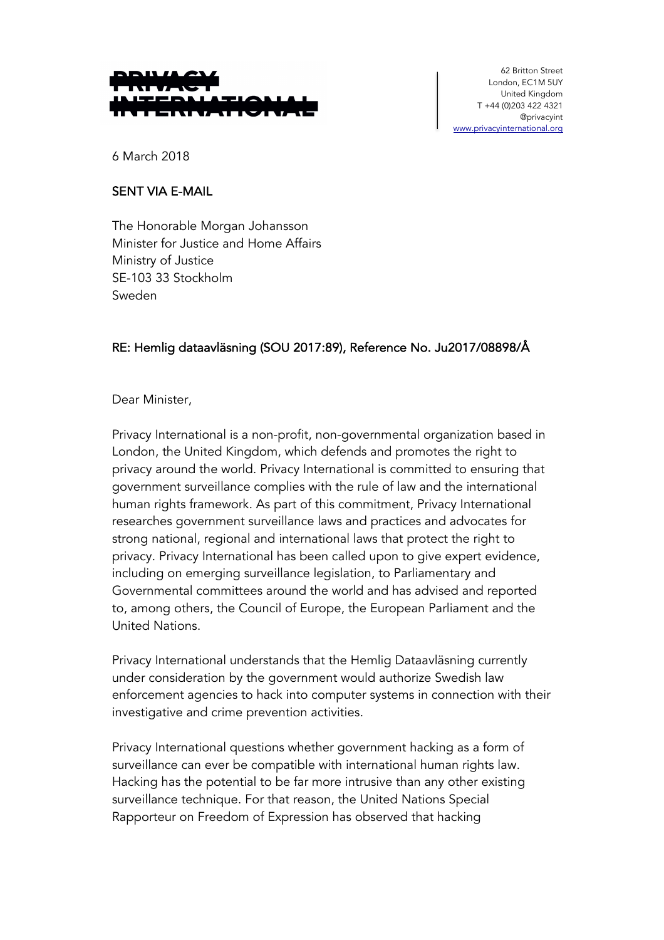

62 Britton Street London, EC1M 5UY United Kingdom T +44 (0)203 422 4321 @privacyint www.privacyinternational.org

6 March 2018

## SENT VIA E-MAIL

The Honorable Morgan Johansson Minister for Justice and Home Affairs Ministry of Justice SE-103 33 Stockholm Sweden

## RE: Hemlig dataavläsning (SOU 2017:89), Reference No. Ju2017/08898/Å

## Dear Minister,

Privacy International is a non-profit, non-governmental organization based in London, the United Kingdom, which defends and promotes the right to privacy around the world. Privacy International is committed to ensuring that government surveillance complies with the rule of law and the international human rights framework. As part of this commitment, Privacy International researches government surveillance laws and practices and advocates for strong national, regional and international laws that protect the right to privacy. Privacy International has been called upon to give expert evidence, including on emerging surveillance legislation, to Parliamentary and Governmental committees around the world and has advised and reported to, among others, the Council of Europe, the European Parliament and the United Nations.

Privacy International understands that the Hemlig Dataavläsning currently under consideration by the government would authorize Swedish law enforcement agencies to hack into computer systems in connection with their investigative and crime prevention activities.

Privacy International questions whether government hacking as a form of surveillance can ever be compatible with international human rights law. Hacking has the potential to be far more intrusive than any other existing surveillance technique. For that reason, the United Nations Special Rapporteur on Freedom of Expression has observed that hacking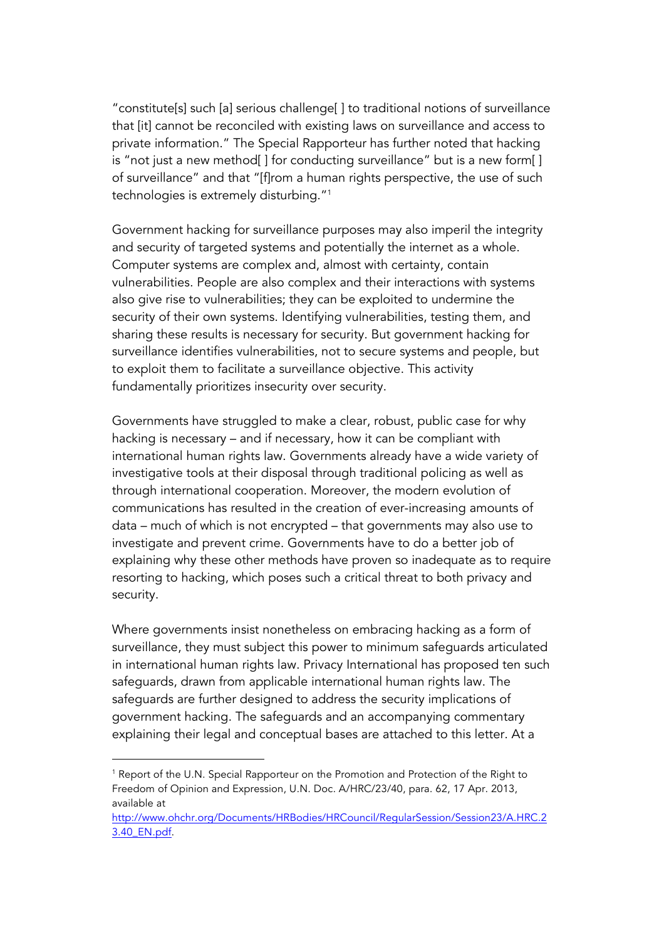"constitute[s] such [a] serious challenge[ ] to traditional notions of surveillance that [it] cannot be reconciled with existing laws on surveillance and access to private information." The Special Rapporteur has further noted that hacking is "not just a new method[] for conducting surveillance" but is a new form[] of surveillance" and that "[f]rom a human rights perspective, the use of such technologies is extremely disturbing."1

Government hacking for surveillance purposes may also imperil the integrity and security of targeted systems and potentially the internet as a whole. Computer systems are complex and, almost with certainty, contain vulnerabilities. People are also complex and their interactions with systems also give rise to vulnerabilities; they can be exploited to undermine the security of their own systems. Identifying vulnerabilities, testing them, and sharing these results is necessary for security. But government hacking for surveillance identifies vulnerabilities, not to secure systems and people, but to exploit them to facilitate a surveillance objective. This activity fundamentally prioritizes insecurity over security.

Governments have struggled to make a clear, robust, public case for why hacking is necessary – and if necessary, how it can be compliant with international human rights law. Governments already have a wide variety of investigative tools at their disposal through traditional policing as well as through international cooperation. Moreover, the modern evolution of communications has resulted in the creation of ever-increasing amounts of data – much of which is not encrypted – that governments may also use to investigate and prevent crime. Governments have to do a better job of explaining why these other methods have proven so inadequate as to require resorting to hacking, which poses such a critical threat to both privacy and security.

Where governments insist nonetheless on embracing hacking as a form of surveillance, they must subject this power to minimum safeguards articulated in international human rights law. Privacy International has proposed ten such safeguards, drawn from applicable international human rights law. The safeguards are further designed to address the security implications of government hacking. The safeguards and an accompanying commentary explaining their legal and conceptual bases are attached to this letter. At a

<sup>&</sup>lt;sup>1</sup> Report of the U.N. Special Rapporteur on the Promotion and Protection of the Right to Freedom of Opinion and Expression, U.N. Doc. A/HRC/23/40, para. 62, 17 Apr. 2013, available at

http://www.ohchr.org/Documents/HRBodies/HRCouncil/RegularSession/Session23/A.HRC.2 3.40\_EN.pdf.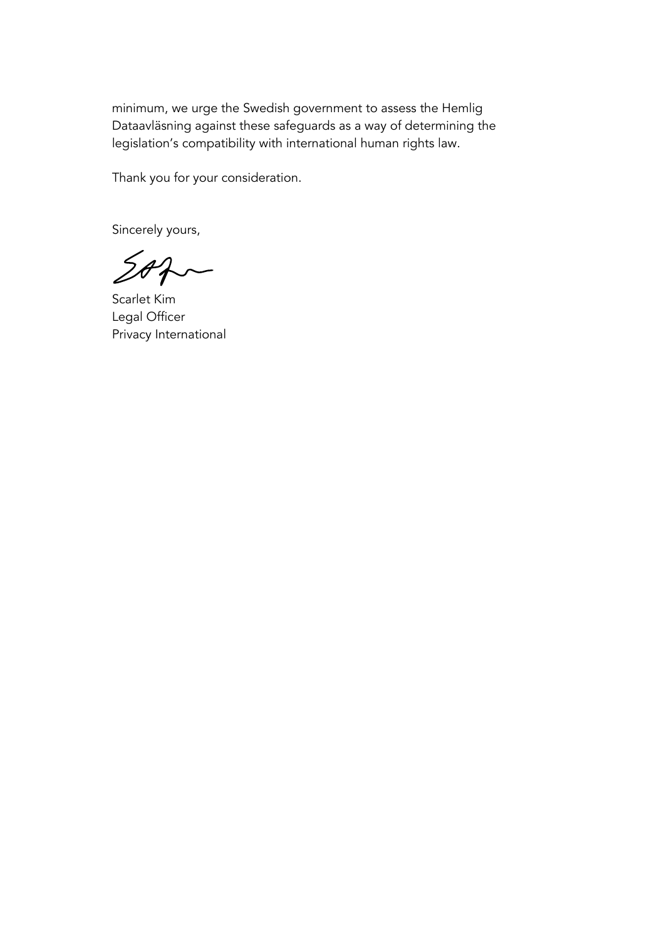minimum, we urge the Swedish government to assess the Hemlig Dataavläsning against these safeguards as a way of determining the legislation's compatibility with international human rights law.

Thank you for your consideration.

Sincerely yours,

 $202-$ 

Scarlet Kim Legal Officer Privacy International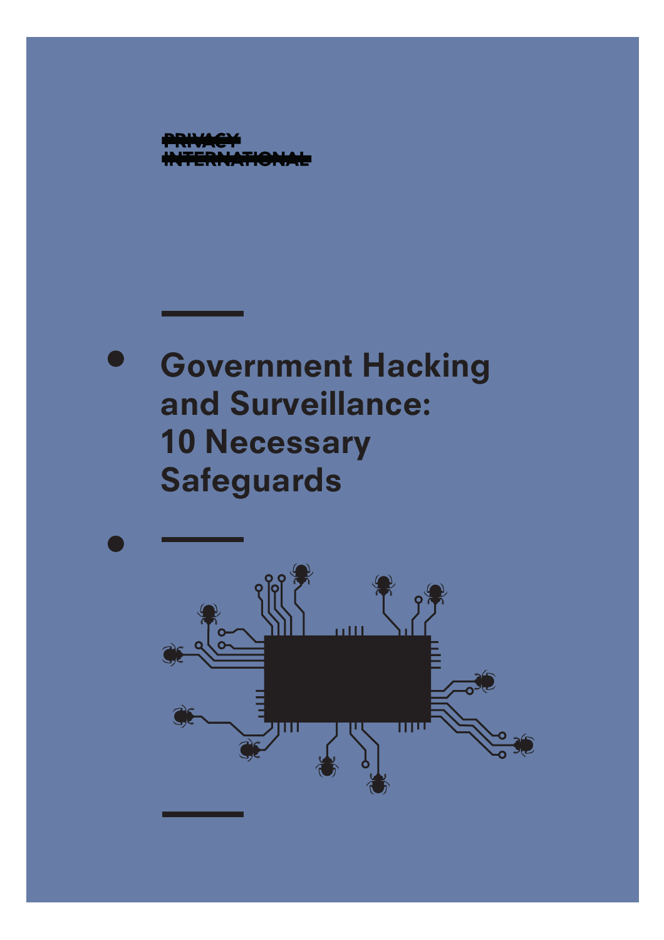

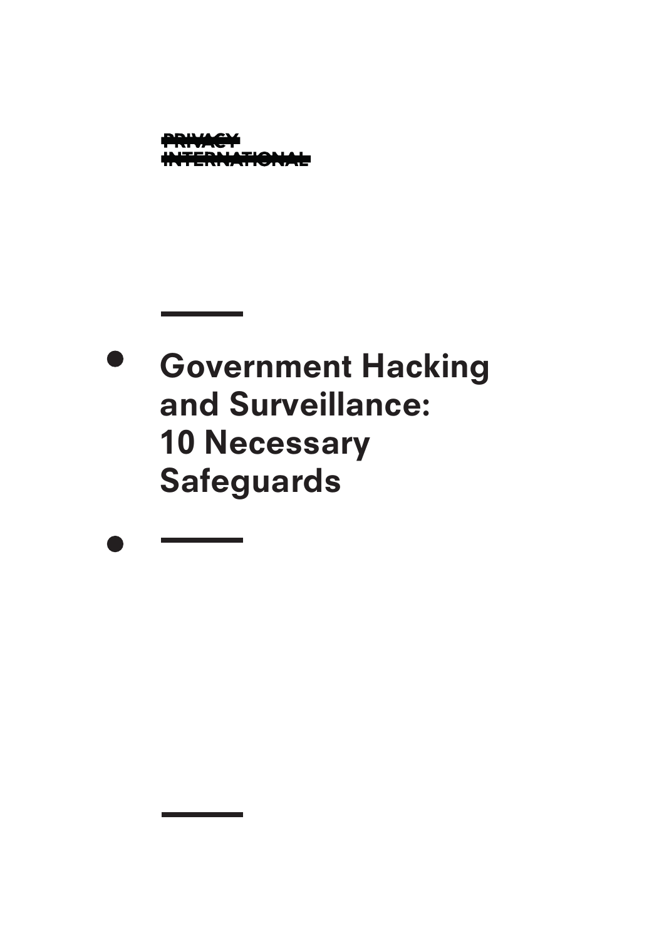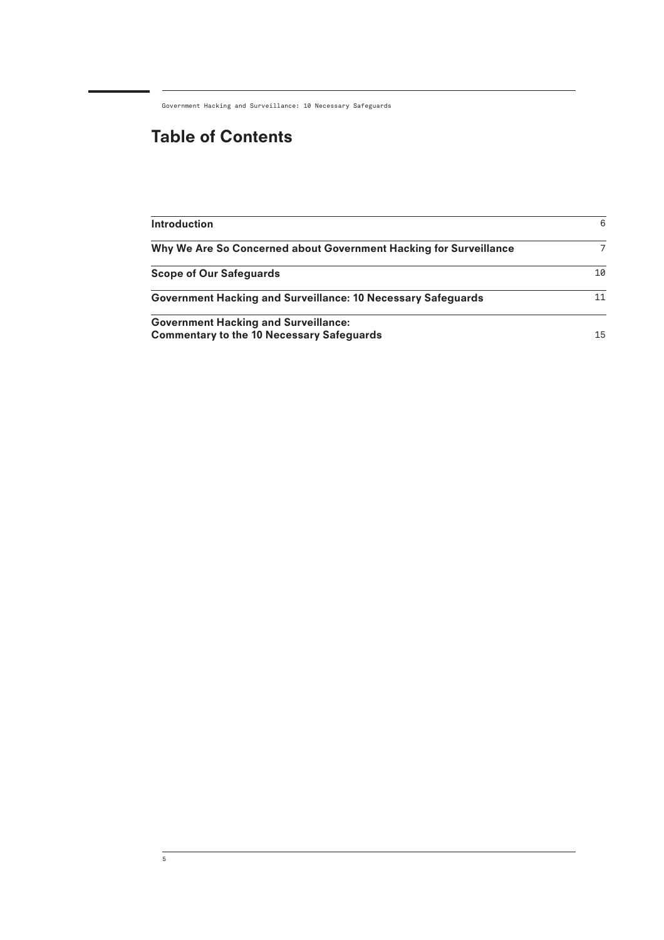# Table of Contents

| <b>Introduction</b>                                                                             | 6  |
|-------------------------------------------------------------------------------------------------|----|
| Why We Are So Concerned about Government Hacking for Surveillance                               | 7  |
| <b>Scope of Our Safeguards</b>                                                                  | 10 |
| Government Hacking and Surveillance: 10 Necessary Safeguards                                    | 11 |
| <b>Government Hacking and Surveillance:</b><br><b>Commentary to the 10 Necessary Safeguards</b> | 15 |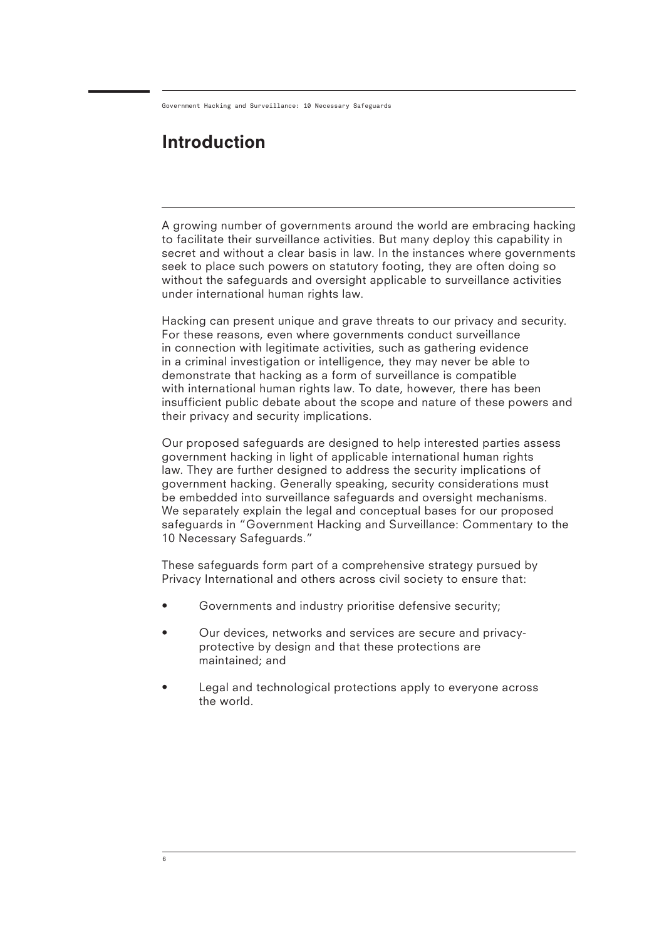## Introduction

A growing number of governments around the world are embracing hacking to facilitate their surveillance activities. But many deploy this capability in secret and without a clear basis in law. In the instances where governments seek to place such powers on statutory footing, they are often doing so without the safeguards and oversight applicable to surveillance activities under international human rights law.

Hacking can present unique and grave threats to our privacy and security. For these reasons, even where governments conduct surveillance in connection with legitimate activities, such as gathering evidence in a criminal investigation or intelligence, they may never be able to demonstrate that hacking as a form of surveillance is compatible with international human rights law. To date, however, there has been insufficient public debate about the scope and nature of these powers and their privacy and security implications.

Our proposed safeguards are designed to help interested parties assess government hacking in light of applicable international human rights law. They are further designed to address the security implications of government hacking. Generally speaking, security considerations must be embedded into surveillance safeguards and oversight mechanisms. We separately explain the legal and conceptual bases for our proposed safeguards in "Government Hacking and Surveillance: Commentary to the 10 Necessary Safeguards."

These safeguards form part of a comprehensive strategy pursued by Privacy International and others across civil society to ensure that:

- Governments and industry prioritise defensive security;
- Our devices, networks and services are secure and privacyprotective by design and that these protections are maintained; and
- Legal and technological protections apply to everyone across the world.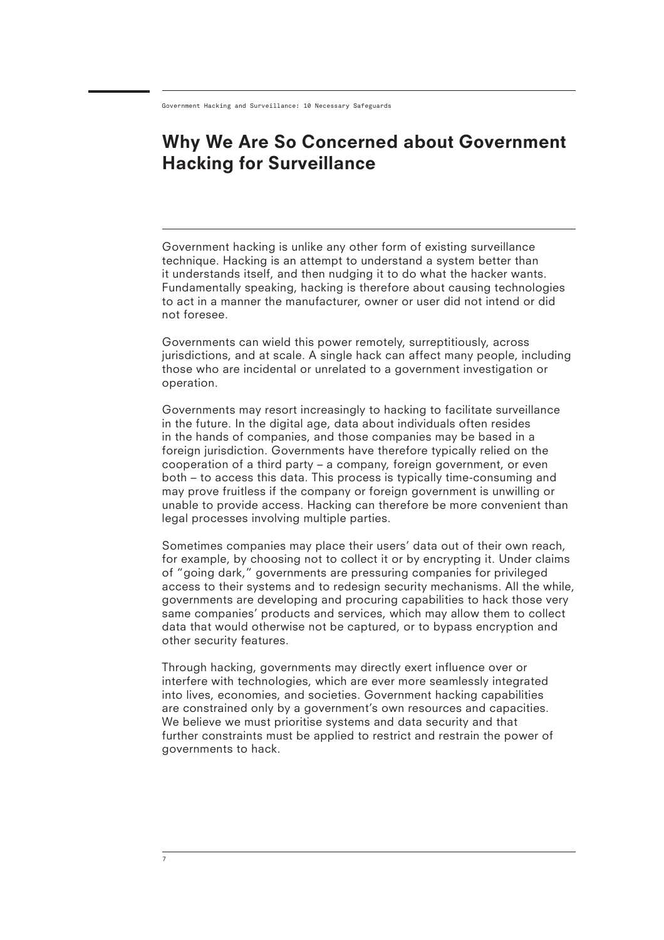## Why We Are So Concerned about Government Hacking for Surveillance

Government hacking is unlike any other form of existing surveillance technique. Hacking is an attempt to understand a system better than it understands itself, and then nudging it to do what the hacker wants. Fundamentally speaking, hacking is therefore about causing technologies to act in a manner the manufacturer, owner or user did not intend or did not foresee.

Governments can wield this power remotely, surreptitiously, across jurisdictions, and at scale. A single hack can affect many people, including those who are incidental or unrelated to a government investigation or operation.

Governments may resort increasingly to hacking to facilitate surveillance in the future. In the digital age, data about individuals often resides in the hands of companies, and those companies may be based in a foreign jurisdiction. Governments have therefore typically relied on the cooperation of a third party – a company, foreign government, or even both – to access this data. This process is typically time-consuming and may prove fruitless if the company or foreign government is unwilling or unable to provide access. Hacking can therefore be more convenient than legal processes involving multiple parties.

Sometimes companies may place their users' data out of their own reach, for example, by choosing not to collect it or by encrypting it. Under claims of "going dark," governments are pressuring companies for privileged access to their systems and to redesign security mechanisms. All the while, governments are developing and procuring capabilities to hack those very same companies' products and services, which may allow them to collect data that would otherwise not be captured, or to bypass encryption and other security features.

Through hacking, governments may directly exert influence over or interfere with technologies, which are ever more seamlessly integrated into lives, economies, and societies. Government hacking capabilities are constrained only by a government's own resources and capacities. We believe we must prioritise systems and data security and that further constraints must be applied to restrict and restrain the power of governments to hack.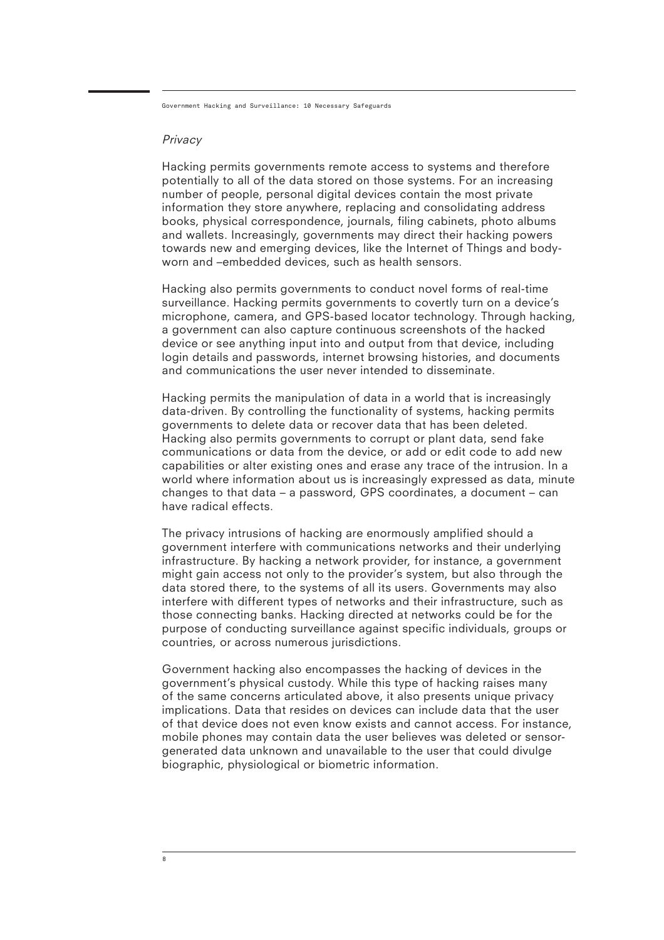#### Privacy

Hacking permits governments remote access to systems and therefore potentially to all of the data stored on those systems. For an increasing number of people, personal digital devices contain the most private information they store anywhere, replacing and consolidating address books, physical correspondence, journals, filing cabinets, photo albums and wallets. Increasingly, governments may direct their hacking powers towards new and emerging devices, like the Internet of Things and bodyworn and –embedded devices, such as health sensors.

Hacking also permits governments to conduct novel forms of real-time surveillance. Hacking permits governments to covertly turn on a device's microphone, camera, and GPS-based locator technology. Through hacking, a government can also capture continuous screenshots of the hacked device or see anything input into and output from that device, including login details and passwords, internet browsing histories, and documents and communications the user never intended to disseminate.

Hacking permits the manipulation of data in a world that is increasingly data-driven. By controlling the functionality of systems, hacking permits governments to delete data or recover data that has been deleted. Hacking also permits governments to corrupt or plant data, send fake communications or data from the device, or add or edit code to add new capabilities or alter existing ones and erase any trace of the intrusion. In a world where information about us is increasingly expressed as data, minute changes to that data – a password, GPS coordinates, a document – can have radical effects.

The privacy intrusions of hacking are enormously amplified should a government interfere with communications networks and their underlying infrastructure. By hacking a network provider, for instance, a government might gain access not only to the provider's system, but also through the data stored there, to the systems of all its users. Governments may also interfere with different types of networks and their infrastructure, such as those connecting banks. Hacking directed at networks could be for the purpose of conducting surveillance against specific individuals, groups or countries, or across numerous jurisdictions.

Government hacking also encompasses the hacking of devices in the government's physical custody. While this type of hacking raises many of the same concerns articulated above, it also presents unique privacy implications. Data that resides on devices can include data that the user of that device does not even know exists and cannot access. For instance, mobile phones may contain data the user believes was deleted or sensorgenerated data unknown and unavailable to the user that could divulge biographic, physiological or biometric information.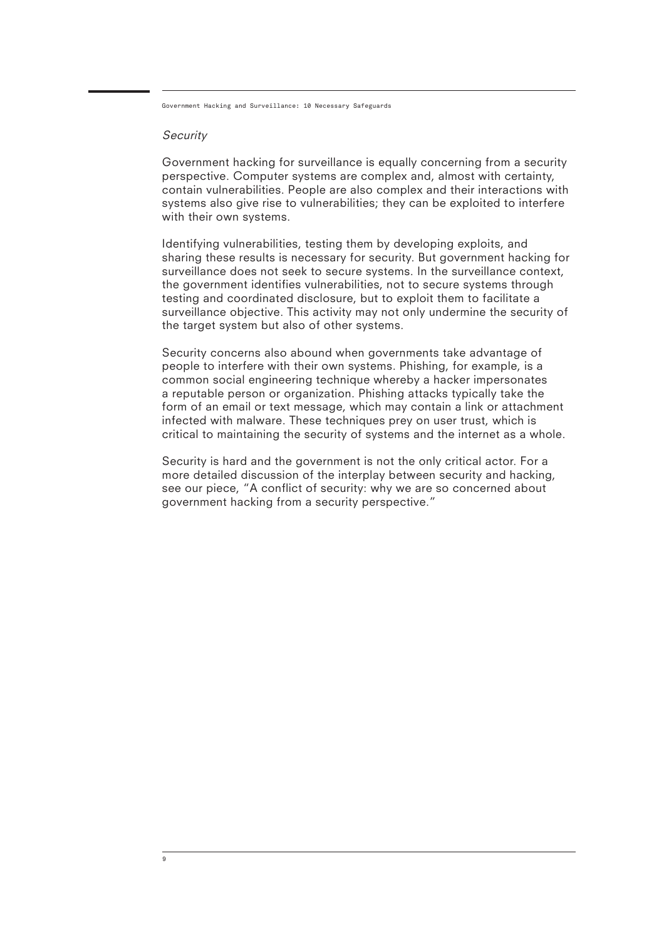#### **Security**

9

Government hacking for surveillance is equally concerning from a security perspective. Computer systems are complex and, almost with certainty, contain vulnerabilities. People are also complex and their interactions with systems also give rise to vulnerabilities; they can be exploited to interfere with their own systems.

Identifying vulnerabilities, testing them by developing exploits, and sharing these results is necessary for security. But government hacking for surveillance does not seek to secure systems. In the surveillance context, the government identifies vulnerabilities, not to secure systems through testing and coordinated disclosure, but to exploit them to facilitate a surveillance objective. This activity may not only undermine the security of the target system but also of other systems.

Security concerns also abound when governments take advantage of people to interfere with their own systems. Phishing, for example, is a common social engineering technique whereby a hacker impersonates a reputable person or organization. Phishing attacks typically take the form of an email or text message, which may contain a link or attachment infected with malware. These techniques prey on user trust, which is critical to maintaining the security of systems and the internet as a whole.

Security is hard and the government is not the only critical actor. For a more detailed discussion of the interplay between security and hacking, see our piece, "A conflict of security: why we are so concerned about government hacking from a security perspective."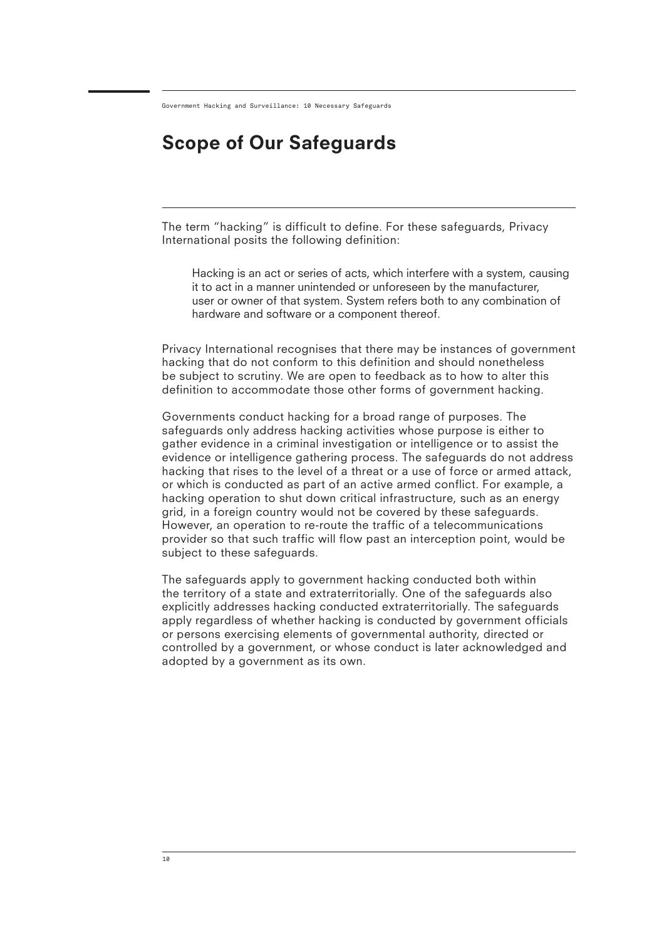# Scope of Our Safeguards

The term "hacking" is difficult to define. For these safeguards, Privacy International posits the following definition:

Hacking is an act or series of acts, which interfere with a system, causing it to act in a manner unintended or unforeseen by the manufacturer, user or owner of that system. System refers both to any combination of hardware and software or a component thereof.

Privacy International recognises that there may be instances of government hacking that do not conform to this definition and should nonetheless be subject to scrutiny. We are open to feedback as to how to alter this definition to accommodate those other forms of government hacking.

Governments conduct hacking for a broad range of purposes. The safeguards only address hacking activities whose purpose is either to gather evidence in a criminal investigation or intelligence or to assist the evidence or intelligence gathering process. The safeguards do not address hacking that rises to the level of a threat or a use of force or armed attack, or which is conducted as part of an active armed conflict. For example, a hacking operation to shut down critical infrastructure, such as an energy grid, in a foreign country would not be covered by these safeguards. However, an operation to re-route the traffic of a telecommunications provider so that such traffic will flow past an interception point, would be subject to these safeguards.

The safeguards apply to government hacking conducted both within the territory of a state and extraterritorially. One of the safeguards also explicitly addresses hacking conducted extraterritorially. The safeguards apply regardless of whether hacking is conducted by government officials or persons exercising elements of governmental authority, directed or controlled by a government, or whose conduct is later acknowledged and adopted by a government as its own.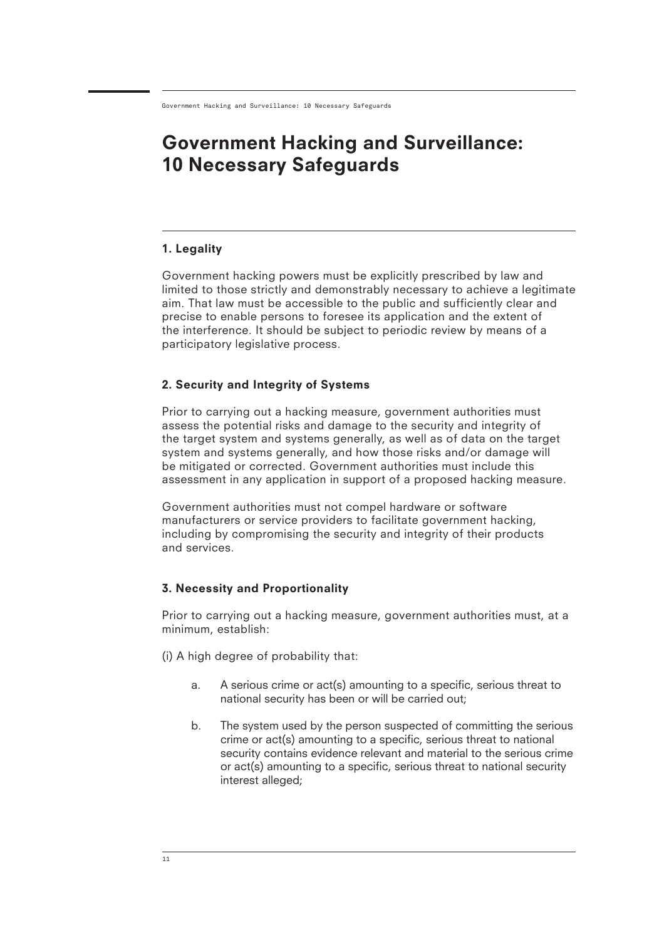## 1. Legality

Government hacking powers must be explicitly prescribed by law and limited to those strictly and demonstrably necessary to achieve a legitimate aim. That law must be accessible to the public and sufficiently clear and precise to enable persons to foresee its application and the extent of the interference. It should be subject to periodic review by means of a participatory legislative process.

## 2. Security and Integrity of Systems

Prior to carrying out a hacking measure, government authorities must assess the potential risks and damage to the security and integrity of the target system and systems generally, as well as of data on the target system and systems generally, and how those risks and/or damage will be mitigated or corrected. Government authorities must include this assessment in any application in support of a proposed hacking measure.

Government authorities must not compel hardware or software manufacturers or service providers to facilitate government hacking, including by compromising the security and integrity of their products and services.

## 3. Necessity and Proportionality

Prior to carrying out a hacking measure, government authorities must, at a minimum, establish:

- (i) A high degree of probability that:
	- A serious crime or act(s) amounting to a specific, serious threat to national security has been or will be carried out; a.
	- The system used by the person suspected of committing the serious crime or act(s) amounting to a specific, serious threat to national security contains evidence relevant and material to the serious crime or act(s) amounting to a specific, serious threat to national security interest alleged; b.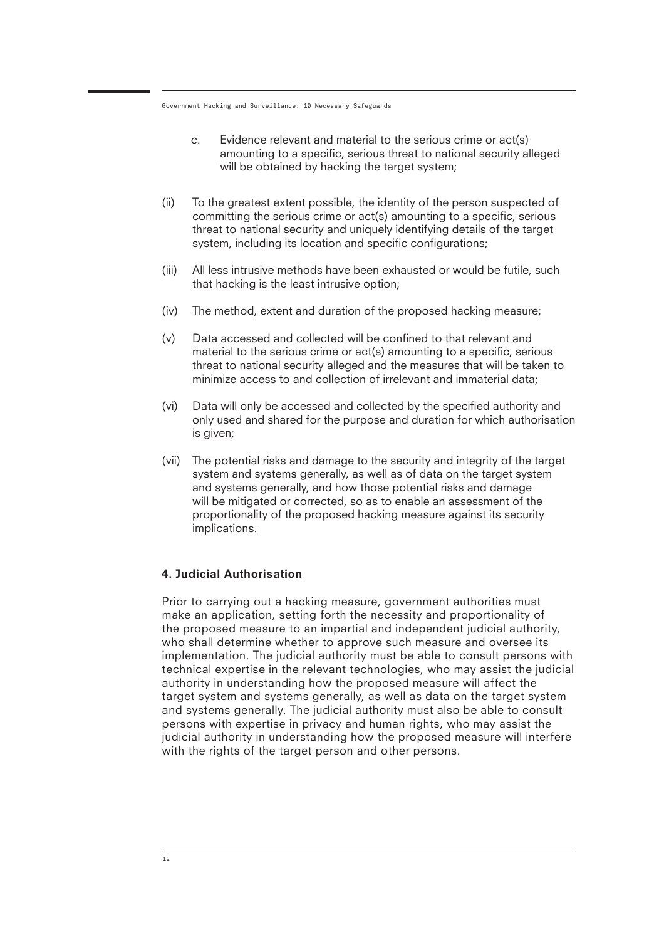- Evidence relevant and material to the serious crime or act(s) amounting to a specific, serious threat to national security alleged will be obtained by hacking the target system; c.
- (ii) To the greatest extent possible, the identity of the person suspected of committing the serious crime or act(s) amounting to a specific, serious threat to national security and uniquely identifying details of the target system, including its location and specific configurations;
- (iii) All less intrusive methods have been exhausted or would be futile, such that hacking is the least intrusive option;
- (iv) The method, extent and duration of the proposed hacking measure;
- (v) Data accessed and collected will be confined to that relevant and material to the serious crime or act(s) amounting to a specific, serious threat to national security alleged and the measures that will be taken to minimize access to and collection of irrelevant and immaterial data;
- (vi) Data will only be accessed and collected by the specified authority and only used and shared for the purpose and duration for which authorisation is given;
- (vii) The potential risks and damage to the security and integrity of the target system and systems generally, as well as of data on the target system and systems generally, and how those potential risks and damage will be mitigated or corrected, so as to enable an assessment of the proportionality of the proposed hacking measure against its security implications.

#### 4. Judicial Authorisation

Prior to carrying out a hacking measure, government authorities must make an application, setting forth the necessity and proportionality of the proposed measure to an impartial and independent judicial authority, who shall determine whether to approve such measure and oversee its implementation. The judicial authority must be able to consult persons with technical expertise in the relevant technologies, who may assist the judicial authority in understanding how the proposed measure will affect the target system and systems generally, as well as data on the target system and systems generally. The judicial authority must also be able to consult persons with expertise in privacy and human rights, who may assist the judicial authority in understanding how the proposed measure will interfere with the rights of the target person and other persons.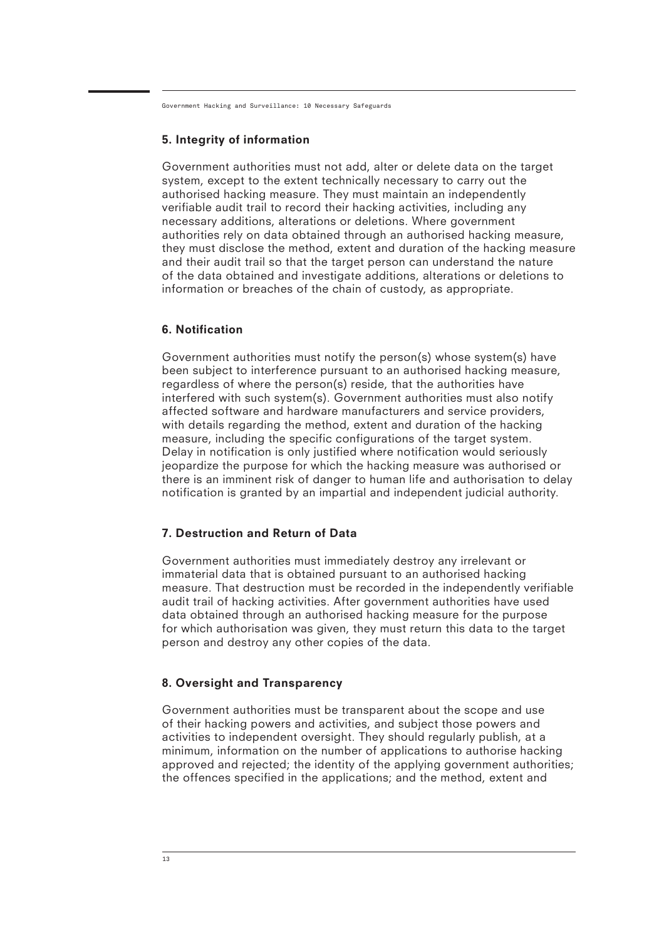### 5. Integrity of information

Government authorities must not add, alter or delete data on the target system, except to the extent technically necessary to carry out the authorised hacking measure. They must maintain an independently verifiable audit trail to record their hacking activities, including any necessary additions, alterations or deletions. Where government authorities rely on data obtained through an authorised hacking measure, they must disclose the method, extent and duration of the hacking measure and their audit trail so that the target person can understand the nature of the data obtained and investigate additions, alterations or deletions to information or breaches of the chain of custody, as appropriate.

#### 6. Notification

Government authorities must notify the person(s) whose system(s) have been subject to interference pursuant to an authorised hacking measure, regardless of where the person(s) reside, that the authorities have interfered with such system(s). Government authorities must also notify affected software and hardware manufacturers and service providers, with details regarding the method, extent and duration of the hacking measure, including the specific configurations of the target system. Delay in notification is only justified where notification would seriously jeopardize the purpose for which the hacking measure was authorised or there is an imminent risk of danger to human life and authorisation to delay notification is granted by an impartial and independent judicial authority.

#### 7. Destruction and Return of Data

Government authorities must immediately destroy any irrelevant or immaterial data that is obtained pursuant to an authorised hacking measure. That destruction must be recorded in the independently verifiable audit trail of hacking activities. After government authorities have used data obtained through an authorised hacking measure for the purpose for which authorisation was given, they must return this data to the target person and destroy any other copies of the data.

#### 8. Oversight and Transparency

Government authorities must be transparent about the scope and use of their hacking powers and activities, and subject those powers and activities to independent oversight. They should regularly publish, at a minimum, information on the number of applications to authorise hacking approved and rejected; the identity of the applying government authorities; the offences specified in the applications; and the method, extent and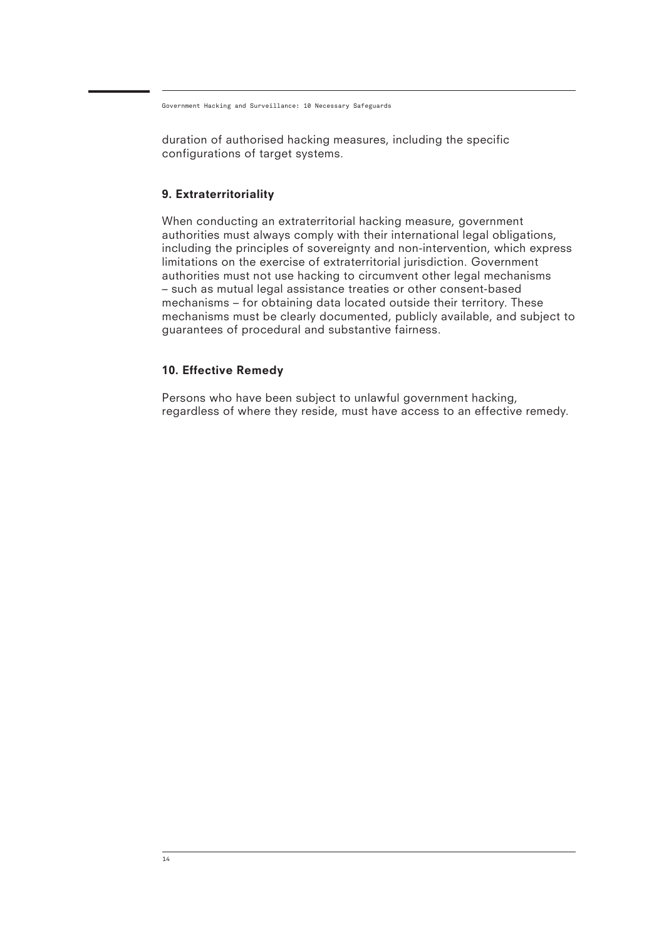duration of authorised hacking measures, including the specific configurations of target systems.

### 9. Extraterritoriality

When conducting an extraterritorial hacking measure, government authorities must always comply with their international legal obligations, including the principles of sovereignty and non-intervention, which express limitations on the exercise of extraterritorial jurisdiction. Government authorities must not use hacking to circumvent other legal mechanisms – such as mutual legal assistance treaties or other consent-based mechanisms – for obtaining data located outside their territory. These mechanisms must be clearly documented, publicly available, and subject to guarantees of procedural and substantive fairness.

## 10. Effective Remedy

Persons who have been subject to unlawful government hacking, regardless of where they reside, must have access to an effective remedy.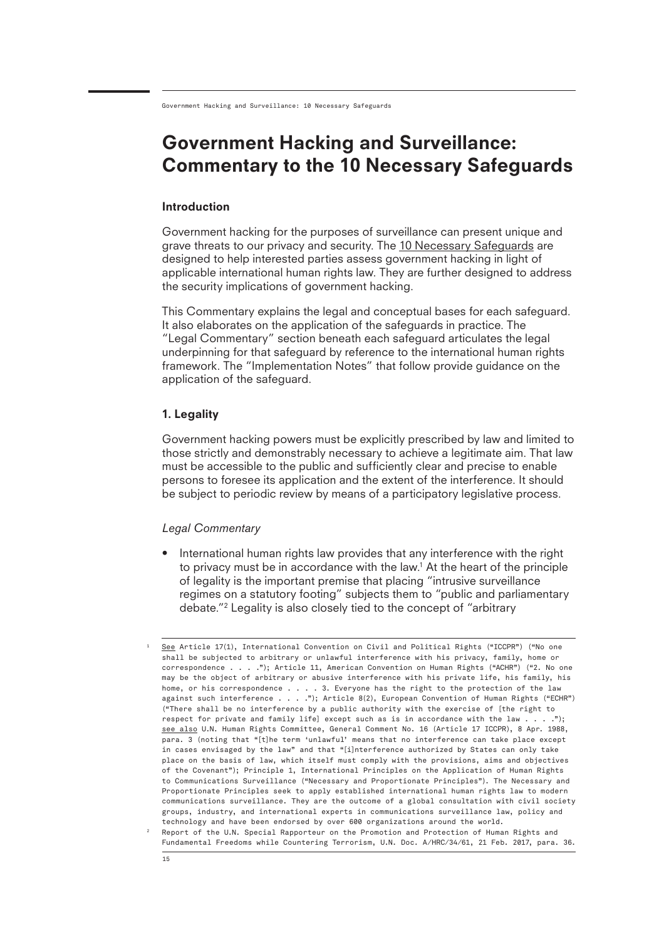## Government Hacking and Surveillance: Commentary to the 10 Necessary Safeguards

#### Introduction

Government hacking for the purposes of surveillance can present unique and grave threats to our privacy and security. The 10 Necessary Safeguards are designed to help interested parties assess government hacking in light of applicable international human rights law. They are further designed to address the security implications of government hacking.

This Commentary explains the legal and conceptual bases for each safeguard. It also elaborates on the application of the safeguards in practice. The "Legal Commentary" section beneath each safeguard articulates the legal underpinning for that safeguard by reference to the international human rights framework. The "Implementation Notes" that follow provide guidance on the application of the safeguard.

#### 1. Legality

Government hacking powers must be explicitly prescribed by law and limited to those strictly and demonstrably necessary to achieve a legitimate aim. That law must be accessible to the public and sufficiently clear and precise to enable persons to foresee its application and the extent of the interference. It should be subject to periodic review by means of a participatory legislative process.

#### *Legal Commentary*

• International human rights law provides that any interference with the right to privacy must be in accordance with the law.1 At the heart of the principle of legality is the important premise that placing "intrusive surveillance regimes on a statutory footing" subjects them to "public and parliamentary debate."2 Legality is also closely tied to the concept of "arbitrary

2

1

See Article 17(1), International Convention on Civil and Political Rights ("ICCPR") ("No one shall be subjected to arbitrary or unlawful interference with his privacy, family, home or correspondence . . . ."); Article 11, American Convention on Human Rights ("ACHR") ("2. No one may be the object of arbitrary or abusive interference with his private life, his family, his home, or his correspondence . . . . 3. Everyone has the right to the protection of the law against such interference . . . ."); Article 8(2), European Convention of Human Rights ("ECHR") ("There shall be no interference by a public authority with the exercise of [the right to respect for private and family life] except such as is in accordance with the law  $\ldots$ ."); see also U.N. Human Rights Committee, General Comment No. 16 (Article 17 ICCPR), 8 Apr. 1988, para. 3 (noting that "[t]he term 'unlawful' means that no interference can take place except in cases envisaged by the law" and that "[i]nterference authorized by States can only take place on the basis of law, which itself must comply with the provisions, aims and objectives of the Covenant"); Principle 1, International Principles on the Application of Human Rights to Communications Surveillance ("Necessary and Proportionate Principles"). The Necessary and Proportionate Principles seek to apply established international human rights law to modern communications surveillance. They are the outcome of a global consultation with civil society groups, industry, and international experts in communications surveillance law, policy and technology and have been endorsed by over 600 organizations around the world. Report of the U.N. Special Rapporteur on the Promotion and Protection of Human Rights and

Fundamental Freedoms while Countering Terrorism, U.N. Doc. A/HRC/34/61, 21 Feb. 2017, para. 36.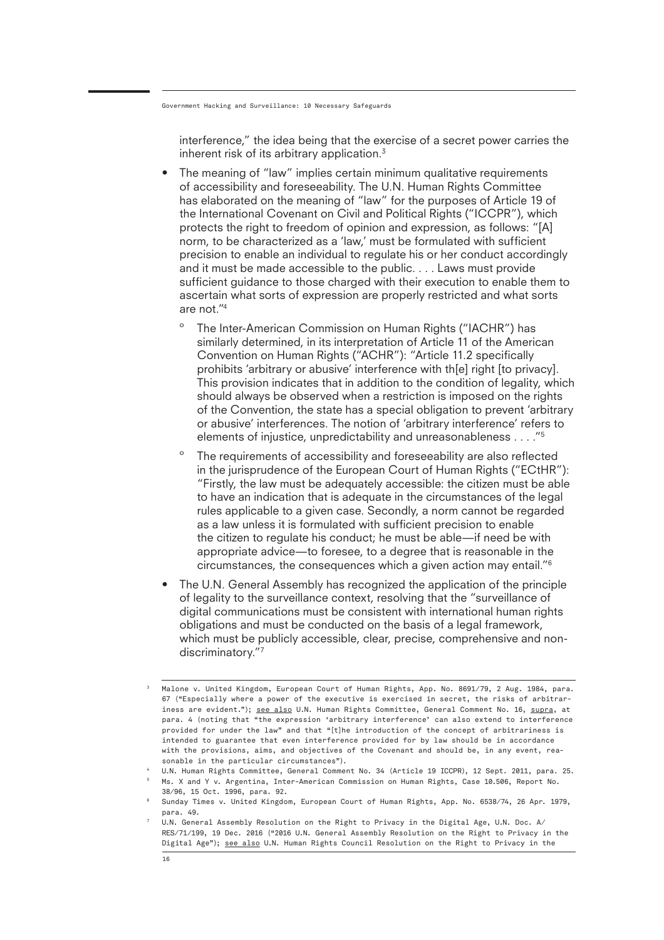interference," the idea being that the exercise of a secret power carries the inherent risk of its arbitrary application.<sup>3</sup>

- The meaning of "law" implies certain minimum qualitative requirements of accessibility and foreseeability. The U.N. Human Rights Committee has elaborated on the meaning of "law" for the purposes of Article 19 of the International Covenant on Civil and Political Rights ("ICCPR"), which protects the right to freedom of opinion and expression, as follows: "[A] norm, to be characterized as a 'law,' must be formulated with sufficient precision to enable an individual to regulate his or her conduct accordingly and it must be made accessible to the public. . . . Laws must provide sufficient guidance to those charged with their execution to enable them to ascertain what sorts of expression are properly restricted and what sorts are not."4
	- The Inter-American Commission on Human Rights ("IACHR") has similarly determined, in its interpretation of Article 11 of the American Convention on Human Rights ("ACHR"): "Article 11.2 specifically prohibits 'arbitrary or abusive' interference with th[e] right [to privacy]. This provision indicates that in addition to the condition of legality, which should always be observed when a restriction is imposed on the rights of the Convention, the state has a special obligation to prevent 'arbitrary or abusive' interferences. The notion of 'arbitrary interference' refers to elements of injustice, unpredictability and unreasonableness . . . ."5
	- º The requirements of accessibility and foreseeability are also reflected in the jurisprudence of the European Court of Human Rights ("ECtHR"): "Firstly, the law must be adequately accessible: the citizen must be able to have an indication that is adequate in the circumstances of the legal rules applicable to a given case. Secondly, a norm cannot be regarded as a law unless it is formulated with sufficient precision to enable the citizen to regulate his conduct; he must be able—if need be with appropriate advice—to foresee, to a degree that is reasonable in the circumstances, the consequences which a given action may entail."6
- The U.N. General Assembly has recognized the application of the principle of legality to the surveillance context, resolving that the "surveillance of digital communications must be consistent with international human rights obligations and must be conducted on the basis of a legal framework, which must be publicly accessible, clear, precise, comprehensive and nondiscriminatory."7

<sup>3</sup> Malone v. United Kingdom, European Court of Human Rights, App. No. 8691/79, 2 Aug. 1984, para. 67 ("Especially where a power of the executive is exercised in secret, the risks of arbitrariness are evident."); see also U.N. Human Rights Committee, General Comment No. 16, supra, at para. 4 (noting that "the expression 'arbitrary interference' can also extend to interference provided for under the law" and that "[t]he introduction of the concept of arbitrariness is intended to guarantee that even interference provided for by law should be in accordance with the provisions, aims, and objectives of the Covenant and should be, in any event, reasonable in the particular circumstances").

<sup>4</sup> U.N. Human Rights Committee, General Comment No. 34 (Article 19 ICCPR), 12 Sept. 2011, para. 25.

<sup>5</sup> Ms. X and Y v. Argentina, Inter-American Commission on Human Rights, Case 10.506, Report No. 38/96, 15 Oct. 1996, para. 92.

<sup>6</sup> Sunday Times v. United Kingdom, European Court of Human Rights, App. No. 6538/74, 26 Apr. 1979, para. 49.

<sup>7</sup> U.N. General Assembly Resolution on the Right to Privacy in the Digital Age, U.N. Doc. A/ RES/71/199, 19 Dec. 2016 ("2016 U.N. General Assembly Resolution on the Right to Privacy in the Digital Age"); see also U.N. Human Rights Council Resolution on the Right to Privacy in the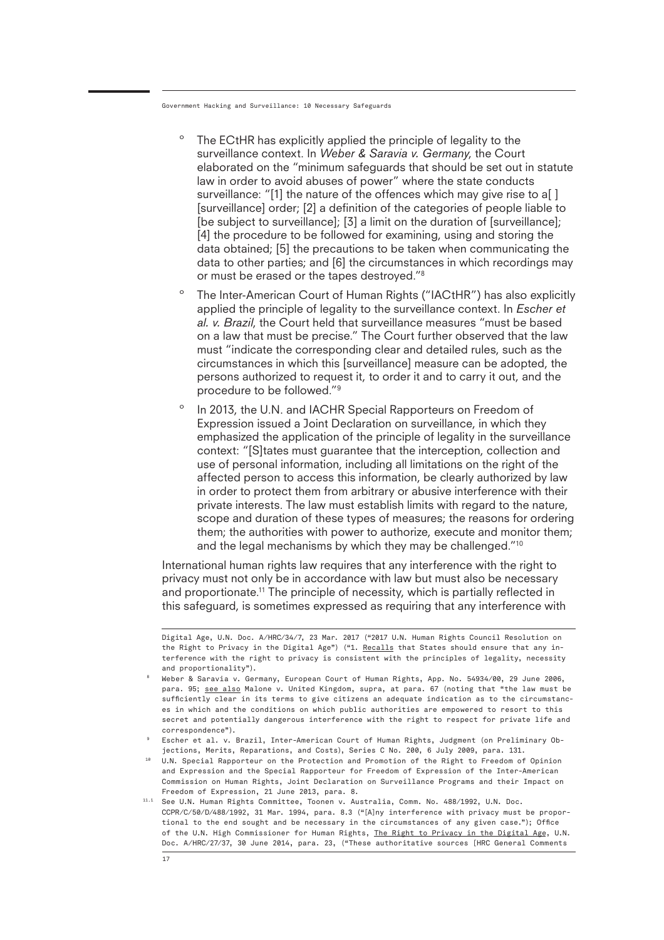- The ECtHR has explicitly applied the principle of legality to the surveillance context. In *Weber & Saravia v. Germany*, the Court elaborated on the "minimum safeguards that should be set out in statute law in order to avoid abuses of power" where the state conducts surveillance: "[1] the nature of the offences which may give rise to a[ ] [surveillance] order; [2] a definition of the categories of people liable to [be subject to surveillance]; [3] a limit on the duration of [surveillance]; [4] the procedure to be followed for examining, using and storing the data obtained; [5] the precautions to be taken when communicating the data to other parties; and [6] the circumstances in which recordings may or must be erased or the tapes destroyed."8
- º The Inter-American Court of Human Rights ("IACtHR") has also explicitly applied the principle of legality to the surveillance context. In *Escher et al. v. Brazil*, the Court held that surveillance measures "must be based on a law that must be precise." The Court further observed that the law must "indicate the corresponding clear and detailed rules, such as the circumstances in which this [surveillance] measure can be adopted, the persons authorized to request it, to order it and to carry it out, and the procedure to be followed."9
- º In 2013, the U.N. and IACHR Special Rapporteurs on Freedom of Expression issued a Joint Declaration on surveillance, in which they emphasized the application of the principle of legality in the surveillance context: "[S]tates must guarantee that the interception, collection and use of personal information, including all limitations on the right of the affected person to access this information, be clearly authorized by law in order to protect them from arbitrary or abusive interference with their private interests. The law must establish limits with regard to the nature, scope and duration of these types of measures; the reasons for ordering them; the authorities with power to authorize, execute and monitor them; and the legal mechanisms by which they may be challenged."10

International human rights law requires that any interference with the right to privacy must not only be in accordance with law but must also be necessary and proportionate.<sup>11</sup> The principle of necessity, which is partially reflected in this safeguard, is sometimes expressed as requiring that any interference with

- 10 U.N. Special Rapporteur on the Protection and Promotion of the Right to Freedom of Opinion and Expression and the Special Rapporteur for Freedom of Expression of the Inter-American Commission on Human Rights, Joint Declaration on Surveillance Programs and their Impact on Freedom of Expression, 21 June 2013, para. 8.
- 11.1 See U.N. Human Rights Committee, Toonen v. Australia, Comm. No. 488/1992, U.N. Doc. CCPR/C/50/D/488/1992, 31 Mar. 1994, para. 8.3 ("[A]ny interference with privacy must be proportional to the end sought and be necessary in the circumstances of any given case."); Office of the U.N. High Commissioner for Human Rights, The Right to Privacy in the Digital Age, U.N. Doc. A/HRC/27/37, 30 June 2014, para. 23, ("These authoritative sources [HRC General Comments

Digital Age, U.N. Doc. A/HRC/34/7, 23 Mar. 2017 ("2017 U.N. Human Rights Council Resolution on the Right to Privacy in the Digital Age") ("1. Recalls that States should ensure that any interference with the right to privacy is consistent with the principles of legality, necessity and proportionality").

<sup>8</sup> Weber & Saravia v. Germany, European Court of Human Rights, App. No. 54934/00, 29 June 2006, para. 95; see also Malone v. United Kingdom, supra, at para. 67 (noting that "the law must be sufficiently clear in its terms to give citizens an adequate indication as to the circumstances in which and the conditions on which public authorities are empowered to resort to this secret and potentially dangerous interference with the right to respect for private life and correspondence").

<sup>9</sup> Escher et al. v. Brazil, Inter-American Court of Human Rights, Judgment (on Preliminary Objections, Merits, Reparations, and Costs), Series C No. 200, 6 July 2009, para. 131.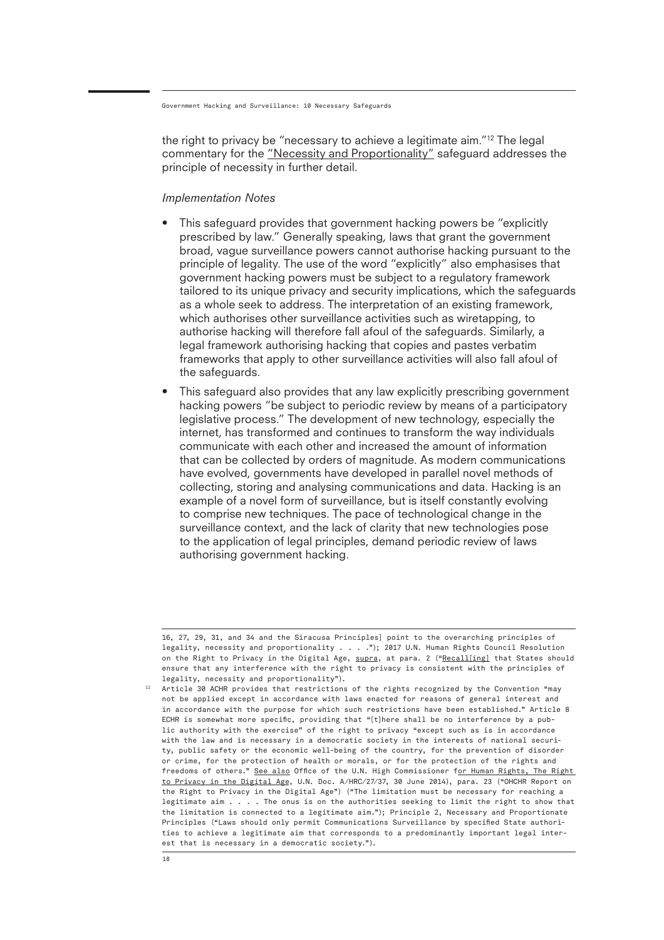the right to privacy be "necessary to achieve a legitimate aim."12 The legal commentary for the "Necessity and Proportionality" safeguard addresses the principle of necessity in further detail.

#### *Implementation Notes*

- This safeguard provides that government hacking powers be "explicitly prescribed by law." Generally speaking, laws that grant the government broad, vague surveillance powers cannot authorise hacking pursuant to the principle of legality. The use of the word "explicitly" also emphasises that government hacking powers must be subject to a regulatory framework tailored to its unique privacy and security implications, which the safeguards as a whole seek to address. The interpretation of an existing framework, which authorises other surveillance activities such as wiretapping, to authorise hacking will therefore fall afoul of the safeguards. Similarly, a legal framework authorising hacking that copies and pastes verbatim frameworks that apply to other surveillance activities will also fall afoul of the safeguards.
- This safeguard also provides that any law explicitly prescribing government hacking powers "be subject to periodic review by means of a participatory legislative process." The development of new technology, especially the internet, has transformed and continues to transform the way individuals communicate with each other and increased the amount of information that can be collected by orders of magnitude. As modern communications have evolved, governments have developed in parallel novel methods of collecting, storing and analysing communications and data. Hacking is an example of a novel form of surveillance, but is itself constantly evolving to comprise new techniques. The pace of technological change in the surveillance context, and the lack of clarity that new technologies pose to the application of legal principles, demand periodic review of laws authorising government hacking.

<sup>16, 27, 29, 31,</sup> and 34 and the Siracusa Principles] point to the overarching principles of legality, necessity and proportionality . . . ."); 2017 U.N. Human Rights Council Resolution on the Right to Privacy in the Digital Age, supra, at para. 2 ("Recall[ing] that States should ensure that any interference with the right to privacy is consistent with the principles of legality, necessity and proportionality").

 $12$  Article 30 ACHR provides that restrictions of the rights recognized by the Convention "may not be applied except in accordance with laws enacted for reasons of general interest and in accordance with the purpose for which such restrictions have been established." Article 8 ECHR is somewhat more specific, providing that "[t]here shall be no interference by a public authority with the exercise" of the right to privacy "except such as is in accordance with the law and is necessary in a democratic society in the interests of national security, public safety or the economic well-being of the country, for the prevention of disorder or crime, for the protection of health or morals, or for the protection of the rights and freedoms of others." See also Office of the U.N. High Commissioner for Human Rights, The Right to Privacy in the Digital Age, U.N. Doc. A/HRC/27/37, 30 June 2014), para. 23 ("OHCHR Report on the Right to Privacy in the Digital Age") ("The limitation must be necessary for reaching a legitimate aim . . . . The onus is on the authorities seeking to limit the right to show that the limitation is connected to a legitimate aim."); Principle 2, Necessary and Proportionate Principles ("Laws should only permit Communications Surveillance by specified State authorities to achieve a legitimate aim that corresponds to a predominantly important legal interest that is necessary in a democratic society.").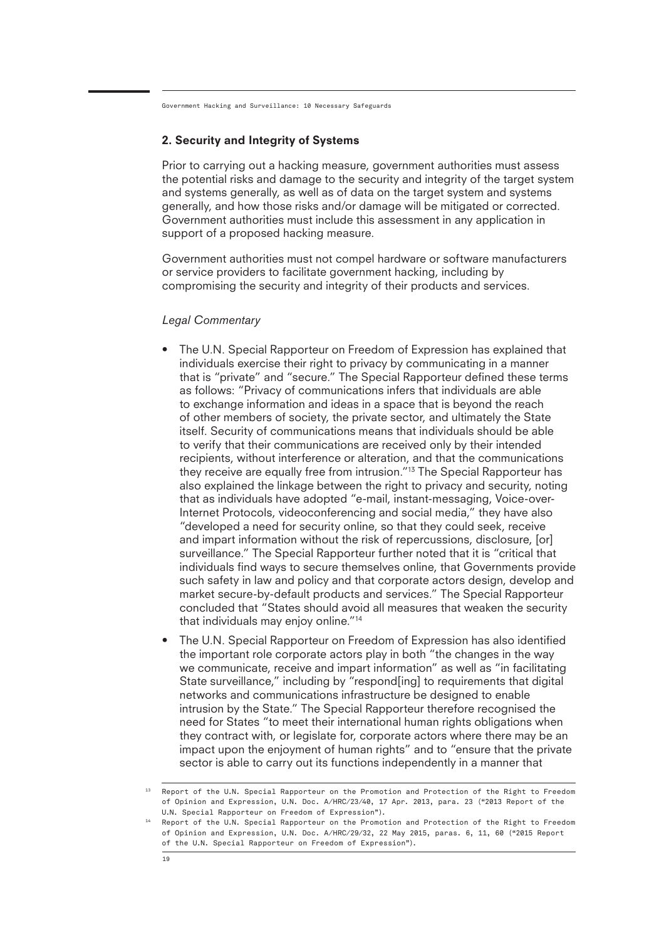#### 2. Security and Integrity of Systems

Prior to carrying out a hacking measure, government authorities must assess the potential risks and damage to the security and integrity of the target system and systems generally, as well as of data on the target system and systems generally, and how those risks and/or damage will be mitigated or corrected. Government authorities must include this assessment in any application in support of a proposed hacking measure.

Government authorities must not compel hardware or software manufacturers or service providers to facilitate government hacking, including by compromising the security and integrity of their products and services.

#### *Legal Commentary*

- The U.N. Special Rapporteur on Freedom of Expression has explained that individuals exercise their right to privacy by communicating in a manner that is "private" and "secure." The Special Rapporteur defined these terms as follows: "Privacy of communications infers that individuals are able to exchange information and ideas in a space that is beyond the reach of other members of society, the private sector, and ultimately the State itself. Security of communications means that individuals should be able to verify that their communications are received only by their intended recipients, without interference or alteration, and that the communications they receive are equally free from intrusion."13 The Special Rapporteur has also explained the linkage between the right to privacy and security, noting that as individuals have adopted "e-mail, instant-messaging, Voice-over-Internet Protocols, videoconferencing and social media," they have also "developed a need for security online, so that they could seek, receive and impart information without the risk of repercussions, disclosure, [or] surveillance." The Special Rapporteur further noted that it is "critical that individuals find ways to secure themselves online, that Governments provide such safety in law and policy and that corporate actors design, develop and market secure-by-default products and services." The Special Rapporteur concluded that "States should avoid all measures that weaken the security that individuals may enjoy online."14
- The U.N. Special Rapporteur on Freedom of Expression has also identified the important role corporate actors play in both "the changes in the way we communicate, receive and impart information" as well as "in facilitating State surveillance," including by "respond[ing] to requirements that digital networks and communications infrastructure be designed to enable intrusion by the State." The Special Rapporteur therefore recognised the need for States "to meet their international human rights obligations when they contract with, or legislate for, corporate actors where there may be an impact upon the enjoyment of human rights" and to "ensure that the private sector is able to carry out its functions independently in a manner that

<sup>&</sup>lt;sup>13</sup> Report of the U.N. Special Rapporteur on the Promotion and Protection of the Right to Freedom of Opinion and Expression, U.N. Doc. A/HRC/23/40, 17 Apr. 2013, para. 23 ("2013 Report of the U.N. Special Rapporteur on Freedom of Expression").

<sup>14</sup> Report of the U.N. Special Rapporteur on the Promotion and Protection of the Right to Freedom of Opinion and Expression, U.N. Doc. A/HRC/29/32, 22 May 2015, paras. 6, 11, 60 ("2015 Report of the U.N. Special Rapporteur on Freedom of Expression").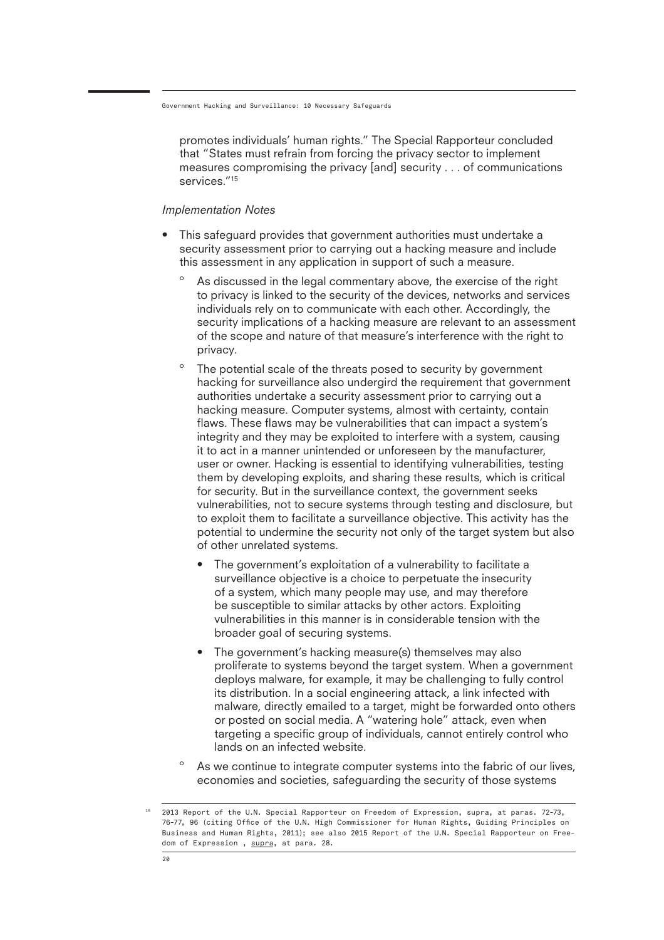promotes individuals' human rights." The Special Rapporteur concluded that "States must refrain from forcing the privacy sector to implement measures compromising the privacy [and] security . . . of communications services."<sup>15</sup>

#### *Implementation Notes*

- This safeguard provides that government authorities must undertake a security assessment prior to carrying out a hacking measure and include this assessment in any application in support of such a measure.
	- As discussed in the legal commentary above, the exercise of the right to privacy is linked to the security of the devices, networks and services individuals rely on to communicate with each other. Accordingly, the security implications of a hacking measure are relevant to an assessment of the scope and nature of that measure's interference with the right to privacy.
	- The potential scale of the threats posed to security by government hacking for surveillance also undergird the requirement that government authorities undertake a security assessment prior to carrying out a hacking measure. Computer systems, almost with certainty, contain flaws. These flaws may be vulnerabilities that can impact a system's integrity and they may be exploited to interfere with a system, causing it to act in a manner unintended or unforeseen by the manufacturer, user or owner. Hacking is essential to identifying vulnerabilities, testing them by developing exploits, and sharing these results, which is critical for security. But in the surveillance context, the government seeks vulnerabilities, not to secure systems through testing and disclosure, but to exploit them to facilitate a surveillance objective. This activity has the potential to undermine the security not only of the target system but also of other unrelated systems.
		- The government's exploitation of a vulnerability to facilitate a surveillance objective is a choice to perpetuate the insecurity of a system, which many people may use, and may therefore be susceptible to similar attacks by other actors. Exploiting vulnerabilities in this manner is in considerable tension with the broader goal of securing systems.
		- The government's hacking measure(s) themselves may also proliferate to systems beyond the target system. When a government deploys malware, for example, it may be challenging to fully control its distribution. In a social engineering attack, a link infected with malware, directly emailed to a target, might be forwarded onto others or posted on social media. A "watering hole" attack, even when targeting a specific group of individuals, cannot entirely control who lands on an infected website.
	- As we continue to integrate computer systems into the fabric of our lives, economies and societies, safeguarding the security of those systems

<sup>15</sup> 2013 Report of the U.N. Special Rapporteur on Freedom of Expression, supra, at paras. 72-73, 76-77, 96 (citing Office of the U.N. High Commissioner for Human Rights, Guiding Principles on Business and Human Rights, 2011); see also 2015 Report of the U.N. Special Rapporteur on Freedom of Expression , supra, at para. 28.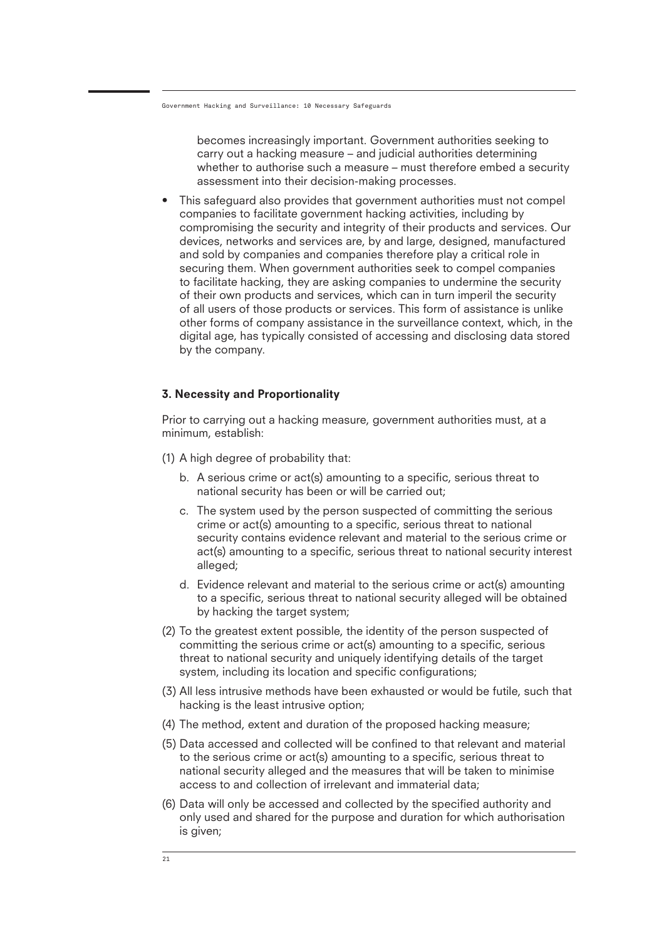becomes increasingly important. Government authorities seeking to carry out a hacking measure – and judicial authorities determining whether to authorise such a measure – must therefore embed a security assessment into their decision-making processes.

• This safeguard also provides that government authorities must not compel companies to facilitate government hacking activities, including by compromising the security and integrity of their products and services. Our devices, networks and services are, by and large, designed, manufactured and sold by companies and companies therefore play a critical role in securing them. When government authorities seek to compel companies to facilitate hacking, they are asking companies to undermine the security of their own products and services, which can in turn imperil the security of all users of those products or services. This form of assistance is unlike other forms of company assistance in the surveillance context, which, in the digital age, has typically consisted of accessing and disclosing data stored by the company.

#### 3. Necessity and Proportionality

Prior to carrying out a hacking measure, government authorities must, at a minimum, establish:

- (1) A high degree of probability that:
	- b. A serious crime or act(s) amounting to a specific, serious threat to national security has been or will be carried out;
	- c. The system used by the person suspected of committing the serious crime or act(s) amounting to a specific, serious threat to national security contains evidence relevant and material to the serious crime or act(s) amounting to a specific, serious threat to national security interest alleged;
	- d. Evidence relevant and material to the serious crime or act(s) amounting to a specific, serious threat to national security alleged will be obtained by hacking the target system;
- (2) To the greatest extent possible, the identity of the person suspected of committing the serious crime or act(s) amounting to a specific, serious threat to national security and uniquely identifying details of the target system, including its location and specific configurations;
- (3) All less intrusive methods have been exhausted or would be futile, such that hacking is the least intrusive option;
- (4) The method, extent and duration of the proposed hacking measure;
- (5) Data accessed and collected will be confined to that relevant and material to the serious crime or act(s) amounting to a specific, serious threat to national security alleged and the measures that will be taken to minimise access to and collection of irrelevant and immaterial data;
- (6) Data will only be accessed and collected by the specified authority and only used and shared for the purpose and duration for which authorisation is given;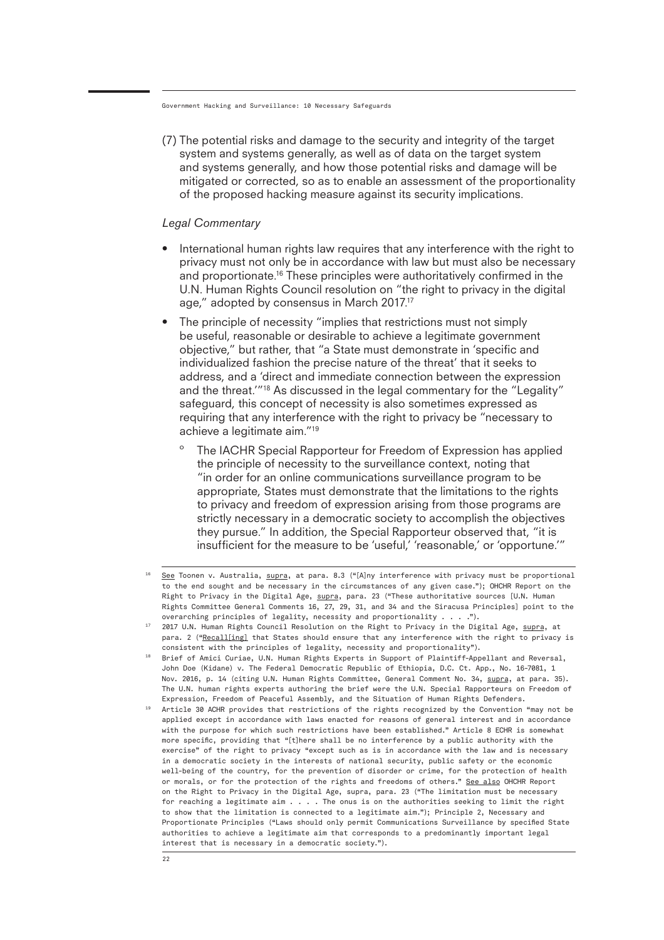(7) The potential risks and damage to the security and integrity of the target system and systems generally, as well as of data on the target system and systems generally, and how those potential risks and damage will be mitigated or corrected, so as to enable an assessment of the proportionality of the proposed hacking measure against its security implications.

#### *Legal Commentary*

- International human rights law requires that any interference with the right to privacy must not only be in accordance with law but must also be necessary and proportionate.<sup>16</sup> These principles were authoritatively confirmed in the U.N. Human Rights Council resolution on "the right to privacy in the digital age," adopted by consensus in March 2017.17
- The principle of necessity "implies that restrictions must not simply be useful, reasonable or desirable to achieve a legitimate government objective," but rather, that "a State must demonstrate in 'specific and individualized fashion the precise nature of the threat' that it seeks to address, and a 'direct and immediate connection between the expression and the threat."<sup>18</sup> As discussed in the legal commentary for the "Legality" safeguard, this concept of necessity is also sometimes expressed as requiring that any interference with the right to privacy be "necessary to achieve a legitimate aim."19
	- The IACHR Special Rapporteur for Freedom of Expression has applied the principle of necessity to the surveillance context, noting that "in order for an online communications surveillance program to be appropriate, States must demonstrate that the limitations to the rights to privacy and freedom of expression arising from those programs are strictly necessary in a democratic society to accomplish the objectives they pursue." In addition, the Special Rapporteur observed that, "it is insufficient for the measure to be 'useful,' 'reasonable,' or 'opportune.'"

<sup>16</sup> See Toonen v. Australia, supra, at para. 8.3 ("[A]ny interference with privacy must be proportional to the end sought and be necessary in the circumstances of any given case."); OHCHR Report on the Right to Privacy in the Digital Age, supra, para. 23 ("These authoritative sources [U.N. Human Rights Committee General Comments 16, 27, 29, 31, and 34 and the Siracusa Principles] point to the overarching principles of legality, necessity and proportionality . . . .").

 $^{17}$  2017 U.N. Human Rights Council Resolution on the Right to Privacy in the Digital Age, <u>supra,</u> at para. 2 ("Recall[ing] that States should ensure that any interference with the right to privacy is consistent with the principles of legality, necessity and proportionality").

 $^{18}$  Brief of Amici Curiae, U.N. Human Rights Experts in Support of Plaintiff-Appellant and Reversal, John Doe (Kidane) v. The Federal Democratic Republic of Ethiopia, D.C. Ct. App., No. 16-7081, 1 Nov. 2016, p. 14 (citing U.N. Human Rights Committee, General Comment No. 34, supra, at para. 35). The U.N. human rights experts authoring the brief were the U.N. Special Rapporteurs on Freedom of Expression, Freedom of Peaceful Assembly, and the Situation of Human Rights Defenders.

<sup>19</sup> Article 30 ACHR provides that restrictions of the rights recognized by the Convention "may not be applied except in accordance with laws enacted for reasons of general interest and in accordance with the purpose for which such restrictions have been established." Article 8 ECHR is somewhat more specific, providing that "[t]here shall be no interference by a public authority with the exercise" of the right to privacy "except such as is in accordance with the law and is necessary in a democratic society in the interests of national security, public safety or the economic well-being of the country, for the prevention of disorder or crime, for the protection of health or morals, or for the protection of the rights and freedoms of others." See also OHCHR Report on the Right to Privacy in the Digital Age, supra, para. 23 ("The limitation must be necessary for reaching a legitimate aim . . . . The onus is on the authorities seeking to limit the right to show that the limitation is connected to a legitimate aim."); Principle 2, Necessary and Proportionate Principles ("Laws should only permit Communications Surveillance by specified State authorities to achieve a legitimate aim that corresponds to a predominantly important legal interest that is necessary in a democratic society.").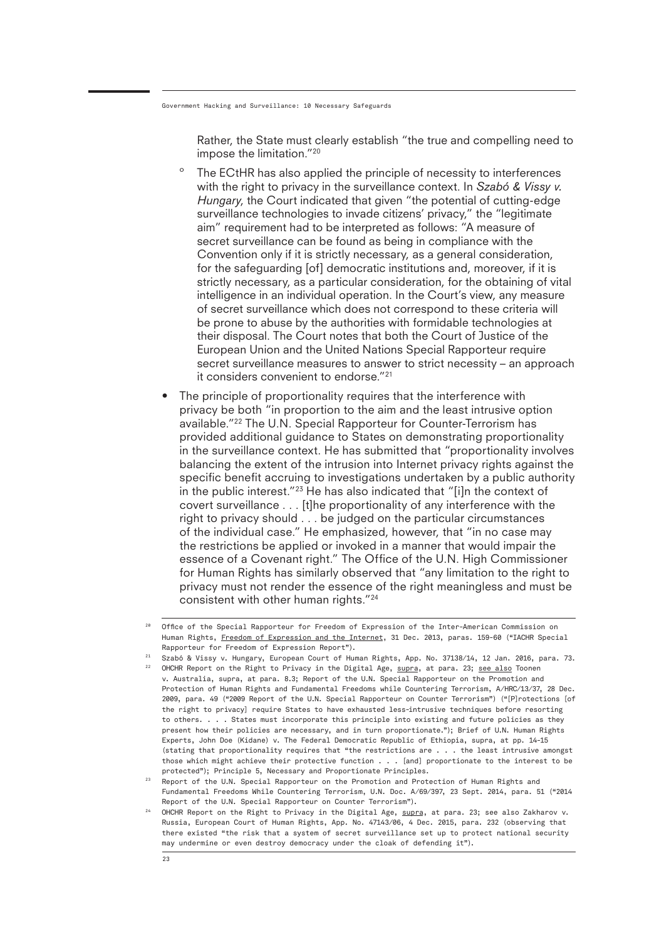Rather, the State must clearly establish "the true and compelling need to impose the limitation."20

- º The ECtHR has also applied the principle of necessity to interferences with the right to privacy in the surveillance context. In *Szabó & Vissy v. Hungary*, the Court indicated that given "the potential of cutting-edge surveillance technologies to invade citizens' privacy," the "legitimate aim" requirement had to be interpreted as follows: "A measure of secret surveillance can be found as being in compliance with the Convention only if it is strictly necessary, as a general consideration, for the safeguarding [of] democratic institutions and, moreover, if it is strictly necessary, as a particular consideration, for the obtaining of vital intelligence in an individual operation. In the Court's view, any measure of secret surveillance which does not correspond to these criteria will be prone to abuse by the authorities with formidable technologies at their disposal. The Court notes that both the Court of Justice of the European Union and the United Nations Special Rapporteur require secret surveillance measures to answer to strict necessity – an approach it considers convenient to endorse."21
- The principle of proportionality requires that the interference with privacy be both "in proportion to the aim and the least intrusive option available."22 The U.N. Special Rapporteur for Counter-Terrorism has provided additional guidance to States on demonstrating proportionality in the surveillance context. He has submitted that "proportionality involves balancing the extent of the intrusion into Internet privacy rights against the specific benefit accruing to investigations undertaken by a public authority in the public interest."23 He has also indicated that "[i]n the context of covert surveillance . . . [t]he proportionality of any interference with the right to privacy should . . . be judged on the particular circumstances of the individual case." He emphasized, however, that "in no case may the restrictions be applied or invoked in a manner that would impair the essence of a Covenant right." The Office of the U.N. High Commissioner for Human Rights has similarly observed that "any limitation to the right to privacy must not render the essence of the right meaningless and must be consistent with other human rights."24

<sup>20</sup> Office of the Special Rapporteur for Freedom of Expression of the Inter-American Commission on Human Rights, Freedom of Expression and the Internet, 31 Dec. 2013, paras. 159-60 ("IACHR Special Rapporteur for Freedom of Expression Report").

 $^{21}$  Szabó & Vissy v. Hungary, European Court of Human Rights, App. No. 37138/14, 12 Jan. 2016, para. 73. <sup>22</sup> OHCHR Report on the Right to Privacy in the Digital Age, <u>supra</u>, at para. 23; <u>see also</u> Toonen v. Australia, supra, at para. 8.3; Report of the U.N. Special Rapporteur on the Promotion and Protection of Human Rights and Fundamental Freedoms while Countering Terrorism, A/HRC/13/37, 28 Dec. 2009, para. 49 ("2009 Report of the U.N. Special Rapporteur on Counter Terrorism") ("[P]rotections [of the right to privacy] require States to have exhausted less-intrusive techniques before resorting to others. . . . States must incorporate this principle into existing and future policies as they present how their policies are necessary, and in turn proportionate."); Brief of U.N. Human Rights Experts, John Doe (Kidane) v. The Federal Democratic Republic of Ethiopia, supra, at pp. 14-15 (stating that proportionality requires that "the restrictions are . . . the least intrusive amongst those which might achieve their protective function . . . [and] proportionate to the interest to be protected"); Principle 5, Necessary and Proportionate Principles.

 $23$  Report of the U.N. Special Rapporteur on the Promotion and Protection of Human Rights and Fundamental Freedoms While Countering Terrorism, U.N. Doc. A/69/397, 23 Sept. 2014, para. 51 ("2014 Report of the U.N. Special Rapporteur on Counter Terrorism").

<sup>&</sup>lt;sup>24</sup> OHCHR Report on the Right to Privacy in the Digital Age, <u>supra,</u> at para. 23; see also Zakharov v. Russia, European Court of Human Rights, App. No. 47143/06, 4 Dec. 2015, para. 232 (observing that there existed "the risk that a system of secret surveillance set up to protect national security may undermine or even destroy democracy under the cloak of defending it").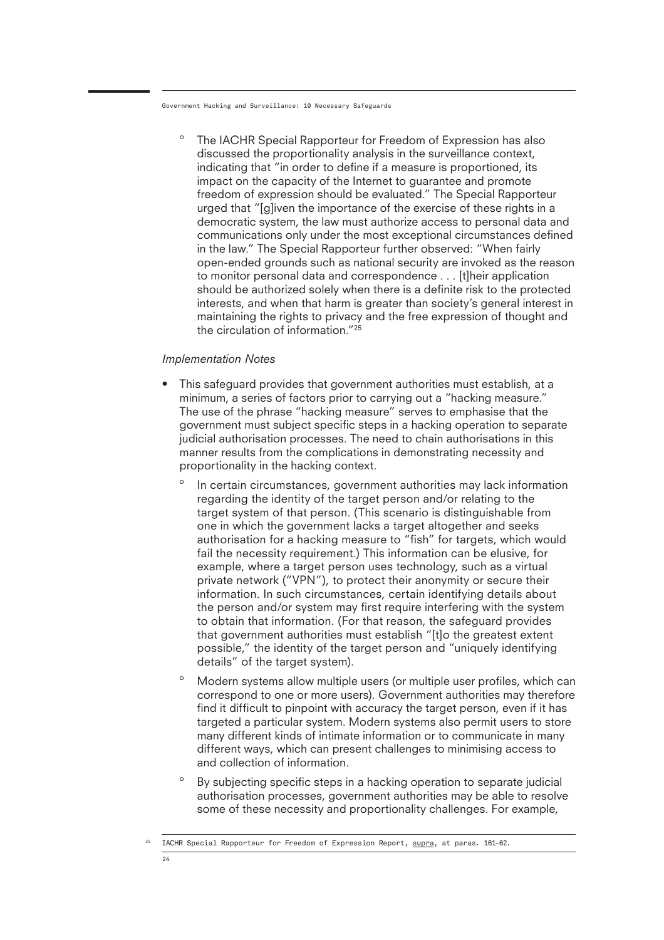The IACHR Special Rapporteur for Freedom of Expression has also discussed the proportionality analysis in the surveillance context, indicating that "in order to define if a measure is proportioned, its impact on the capacity of the Internet to guarantee and promote freedom of expression should be evaluated." The Special Rapporteur urged that "[g]iven the importance of the exercise of these rights in a democratic system, the law must authorize access to personal data and communications only under the most exceptional circumstances defined in the law." The Special Rapporteur further observed: "When fairly open-ended grounds such as national security are invoked as the reason to monitor personal data and correspondence . . . [t]heir application should be authorized solely when there is a definite risk to the protected interests, and when that harm is greater than society's general interest in maintaining the rights to privacy and the free expression of thought and the circulation of information."25

#### *Implementation Notes*

- This safeguard provides that government authorities must establish, at a minimum, a series of factors prior to carrying out a "hacking measure." The use of the phrase "hacking measure" serves to emphasise that the government must subject specific steps in a hacking operation to separate judicial authorisation processes. The need to chain authorisations in this manner results from the complications in demonstrating necessity and proportionality in the hacking context.
	- º In certain circumstances, government authorities may lack information regarding the identity of the target person and/or relating to the target system of that person. (This scenario is distinguishable from one in which the government lacks a target altogether and seeks authorisation for a hacking measure to "fish" for targets, which would fail the necessity requirement.) This information can be elusive, for example, where a target person uses technology, such as a virtual private network ("VPN"), to protect their anonymity or secure their information. In such circumstances, certain identifying details about the person and/or system may first require interfering with the system to obtain that information. (For that reason, the safeguard provides that government authorities must establish "[t]o the greatest extent possible," the identity of the target person and "uniquely identifying details" of the target system).
	- º Modern systems allow multiple users (or multiple user profiles, which can correspond to one or more users). Government authorities may therefore find it difficult to pinpoint with accuracy the target person, even if it has targeted a particular system. Modern systems also permit users to store many different kinds of intimate information or to communicate in many different ways, which can present challenges to minimising access to and collection of information.
	- º By subjecting specific steps in a hacking operation to separate judicial authorisation processes, government authorities may be able to resolve some of these necessity and proportionality challenges. For example,

<sup>&</sup>lt;sup>25</sup> IACHR Special Rapporteur for Freedom of Expression Report, supra, at paras. 161-62.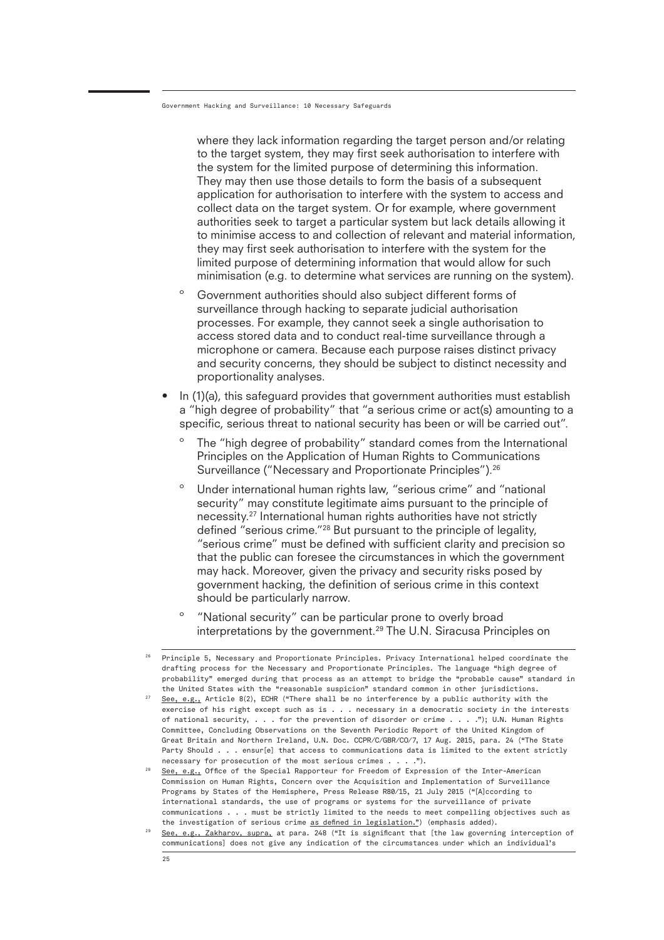where they lack information regarding the target person and/or relating to the target system, they may first seek authorisation to interfere with the system for the limited purpose of determining this information. They may then use those details to form the basis of a subsequent application for authorisation to interfere with the system to access and collect data on the target system. Or for example, where government authorities seek to target a particular system but lack details allowing it to minimise access to and collection of relevant and material information, they may first seek authorisation to interfere with the system for the limited purpose of determining information that would allow for such minimisation (e.g. to determine what services are running on the system).

- º Government authorities should also subject different forms of surveillance through hacking to separate judicial authorisation processes. For example, they cannot seek a single authorisation to access stored data and to conduct real-time surveillance through a microphone or camera. Because each purpose raises distinct privacy and security concerns, they should be subject to distinct necessity and proportionality analyses.
- In (1)(a), this safeguard provides that government authorities must establish a "high degree of probability" that "a serious crime or act(s) amounting to a specific, serious threat to national security has been or will be carried out".
	- The "high degree of probability" standard comes from the International Principles on the Application of Human Rights to Communications Surveillance ("Necessary and Proportionate Principles").26
	- º Under international human rights law, "serious crime" and "national security" may constitute legitimate aims pursuant to the principle of necessity.27 International human rights authorities have not strictly defined "serious crime."28 But pursuant to the principle of legality, "serious crime" must be defined with sufficient clarity and precision so that the public can foresee the circumstances in which the government may hack. Moreover, given the privacy and security risks posed by government hacking, the definition of serious crime in this context should be particularly narrow.
	- º "National security" can be particular prone to overly broad interpretations by the government.<sup>29</sup> The U.N. Siracusa Principles on

 $^{26}$  Principle 5, Necessary and Proportionate Principles. Privacy International helped coordinate the  $2^2$  See, e.g., Article 8(2), ECHR ("There shall be no interference by a public authority with the drafting process for the Necessary and Proportionate Principles. The language "high degree of probability" emerged during that process as an attempt to bridge the "probable cause" standard in the United States with the "reasonable suspicion" standard common in other jurisdictions. exercise of his right except such as is . . . necessary in a democratic society in the interests of national security, . . . for the prevention of disorder or crime . . . ."); U.N. Human Rights Committee, Concluding Observations on the Seventh Periodic Report of the United Kingdom of Great Britain and Northern Ireland, U.N. Doc. CCPR/C/GBR/CO/7, 17 Aug. 2015, para. 24 ("The State Party Should . . . ensur[e] that access to communications data is limited to the extent strictly necessary for prosecution of the most serious crimes . . . .").

<sup>28</sup> See, e.g., Office of the Special Rapporteur for Freedom of Expression of the Inter-American Commission on Human Rights, Concern over the Acquisition and Implementation of Surveillance Programs by States of the Hemisphere, Press Release R80/15, 21 July 2015 ("[A]ccording to international standards, the use of programs or systems for the surveillance of private communications . . . must be strictly limited to the needs to meet compelling objectives such as the investigation of serious crime as defined in legislation.") (emphasis added).

<sup>29</sup> See, e.g., Zakharov, supra, at para. 248 ("It is significant that [the law governing interception of communications] does not give any indication of the circumstances under which an individual's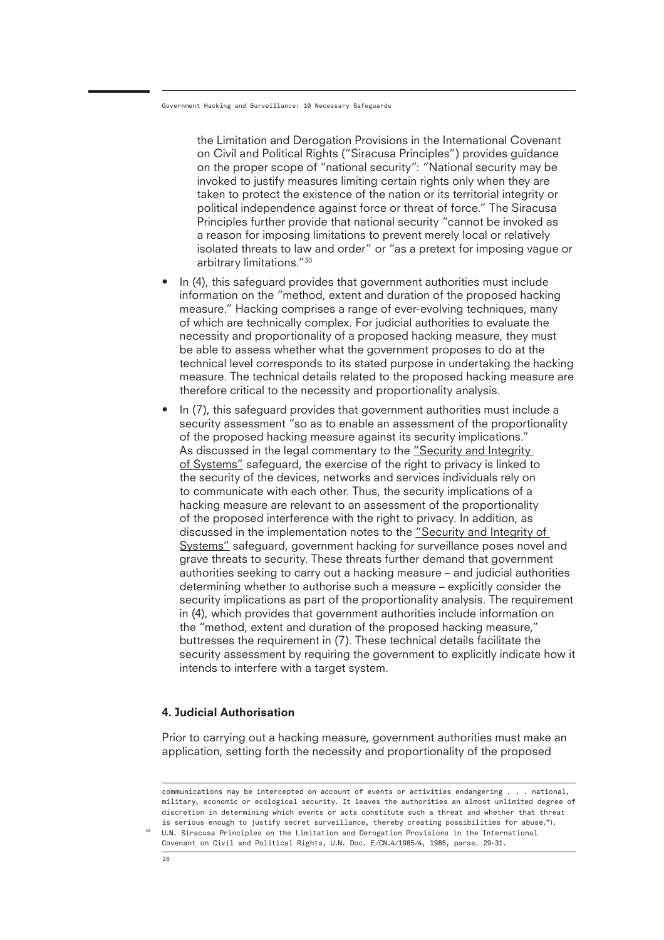the Limitation and Derogation Provisions in the International Covenant on Civil and Political Rights ("Siracusa Principles") provides guidance on the proper scope of "national security": "National security may be invoked to justify measures limiting certain rights only when they are taken to protect the existence of the nation or its territorial integrity or political independence against force or threat of force." The Siracusa Principles further provide that national security "cannot be invoked as a reason for imposing limitations to prevent merely local or relatively isolated threats to law and order" or "as a pretext for imposing vague or arbitrary limitations."30

- In (4), this safeguard provides that government authorities must include information on the "method, extent and duration of the proposed hacking measure." Hacking comprises a range of ever-evolving techniques, many of which are technically complex. For judicial authorities to evaluate the necessity and proportionality of a proposed hacking measure, they must be able to assess whether what the government proposes to do at the technical level corresponds to its stated purpose in undertaking the hacking measure. The technical details related to the proposed hacking measure are therefore critical to the necessity and proportionality analysis.
- In (7), this safeguard provides that government authorities must include a security assessment "so as to enable an assessment of the proportionality of the proposed hacking measure against its security implications." As discussed in the legal commentary to the "Security and Integrity of Systems" safeguard, the exercise of the right to privacy is linked to the security of the devices, networks and services individuals rely on to communicate with each other. Thus, the security implications of a hacking measure are relevant to an assessment of the proportionality of the proposed interference with the right to privacy. In addition, as discussed in the implementation notes to the "Security and Integrity of Systems" safeguard, government hacking for surveillance poses novel and grave threats to security. These threats further demand that government authorities seeking to carry out a hacking measure – and judicial authorities determining whether to authorise such a measure – explicitly consider the security implications as part of the proportionality analysis. The requirement in (4), which provides that government authorities include information on the "method, extent and duration of the proposed hacking measure," buttresses the requirement in (7). These technical details facilitate the security assessment by requiring the government to explicitly indicate how it intends to interfere with a target system.

#### 4. Judicial Authorisation

Prior to carrying out a hacking measure, government authorities must make an application, setting forth the necessity and proportionality of the proposed

30

communications may be intercepted on account of events or activities endangering . . . national, military, economic or ecological security. It leaves the authorities an almost unlimited degree of discretion in determining which events or acts constitute such a threat and whether that threat is serious enough to justify secret surveillance, thereby creating possibilities for abuse."). U.N. Siracusa Principles on the Limitation and Derogation Provisions in the International Covenant on Civil and Political Rights, U.N. Doc. E/CN.4/1985/4, 1985, paras. 29-31.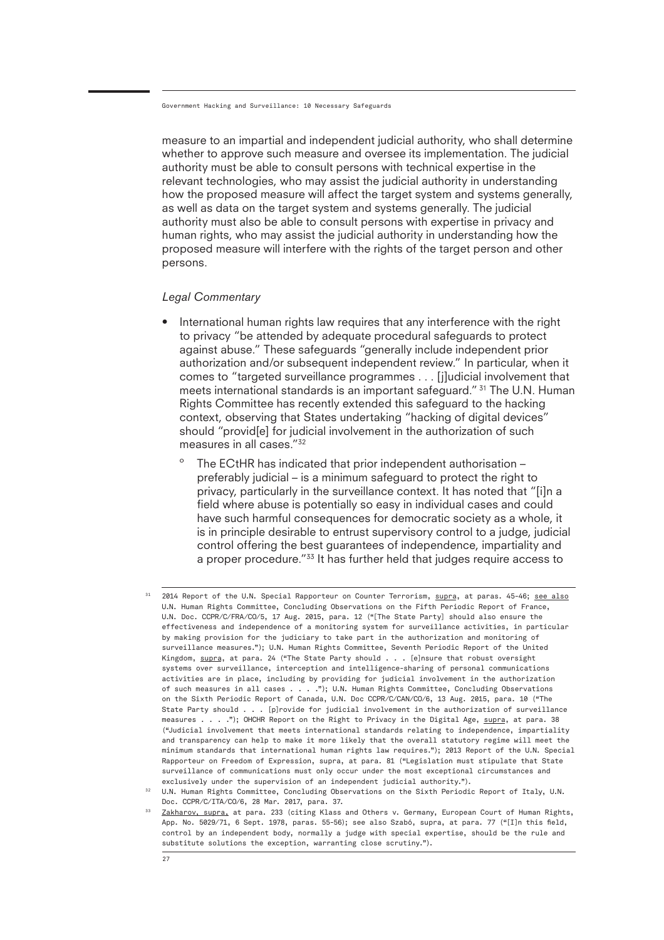measure to an impartial and independent judicial authority, who shall determine whether to approve such measure and oversee its implementation. The judicial authority must be able to consult persons with technical expertise in the relevant technologies, who may assist the judicial authority in understanding how the proposed measure will affect the target system and systems generally, as well as data on the target system and systems generally. The judicial authority must also be able to consult persons with expertise in privacy and human rights, who may assist the judicial authority in understanding how the proposed measure will interfere with the rights of the target person and other persons.

#### *Legal Commentary*

- International human rights law requires that any interference with the right to privacy "be attended by adequate procedural safeguards to protect against abuse." These safeguards "generally include independent prior authorization and/or subsequent independent review." In particular, when it comes to "targeted surveillance programmes . . . [j]udicial involvement that meets international standards is an important safeguard." <sup>31</sup> The U.N. Human Rights Committee has recently extended this safeguard to the hacking context, observing that States undertaking "hacking of digital devices" should "provid[e] for judicial involvement in the authorization of such measures in all cases."32
	- The ECtHR has indicated that prior independent authorisation preferably judicial – is a minimum safeguard to protect the right to privacy, particularly in the surveillance context. It has noted that "[i]n a field where abuse is potentially so easy in individual cases and could have such harmful consequences for democratic society as a whole, it is in principle desirable to entrust supervisory control to a judge, judicial control offering the best guarantees of independence, impartiality and a proper procedure."33 It has further held that judges require access to

<sup>31</sup> 2014 Report of the U.N. Special Rapporteur on Counter Terrorism, supra, at paras. 45-46; see also U.N. Human Rights Committee, Concluding Observations on the Fifth Periodic Report of France, U.N. Doc. CCPR/C/FRA/CO/5, 17 Aug. 2015, para. 12 ("[The State Party] should also ensure the effectiveness and independence of a monitoring system for surveillance activities, in particular by making provision for the judiciary to take part in the authorization and monitoring of surveillance measures."); U.N. Human Rights Committee, Seventh Periodic Report of the United Kingdom, supra, at para. 24 ("The State Party should . . . [e]nsure that robust oversight systems over surveillance, interception and intelligence-sharing of personal communications activities are in place, including by providing for judicial involvement in the authorization of such measures in all cases . . . ."); U.N. Human Rights Committee, Concluding Observations on the Sixth Periodic Report of Canada, U.N. Doc CCPR/C/CAN/CO/6, 13 Aug. 2015, para. 10 ("The State Party should . . . [p]rovide for judicial involvement in the authorization of surveillance measures . . . ."); OHCHR Report on the Right to Privacy in the Digital Age, supra, at para. 38 ("Judicial involvement that meets international standards relating to independence, impartiality and transparency can help to make it more likely that the overall statutory regime will meet the minimum standards that international human rights law requires."); 2013 Report of the U.N. Special Rapporteur on Freedom of Expression, supra, at para. 81 ("Legislation must stipulate that State surveillance of communications must only occur under the most exceptional circumstances and exclusively under the supervision of an independent judicial authority.").

<sup>&</sup>lt;sup>32</sup> U.N. Human Rights Committee, Concluding Observations on the Sixth Periodic Report of Italy, U.N. Doc. CCPR/C/ITA/CO/6, 28 Mar. 2017, para. 37.

<sup>33</sup> Zakharov, supra, at para. 233 (citing Klass and Others v. Germany, European Court of Human Rights, App. No. 5029/71, 6 Sept. 1978, paras. 55-56); see also Szabó, supra, at para. 77 ("[I]n this field, control by an independent body, normally a judge with special expertise, should be the rule and substitute solutions the exception, warranting close scrutiny.").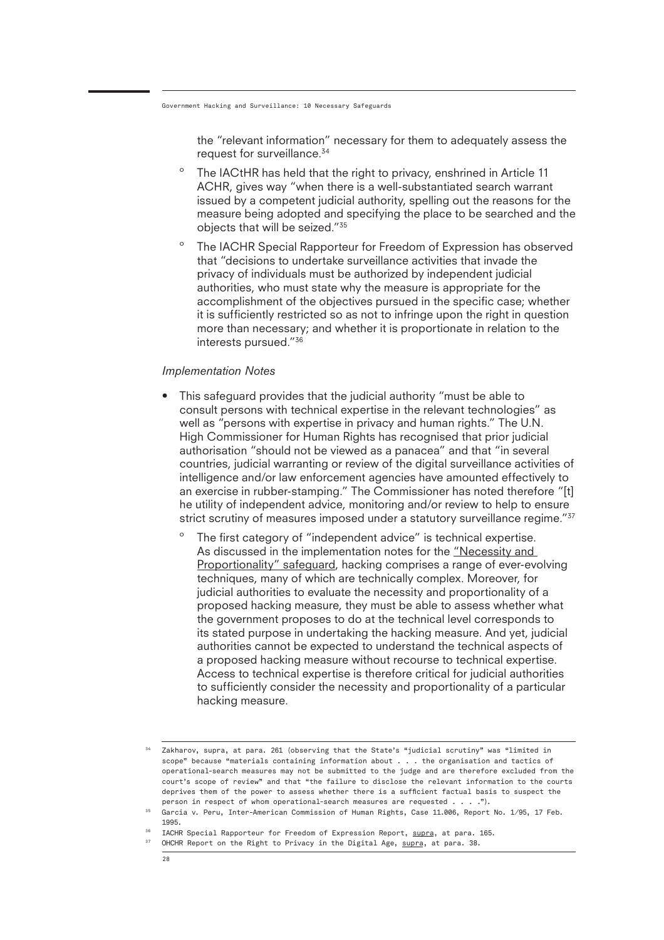the "relevant information" necessary for them to adequately assess the request for surveillance.<sup>34</sup>

- º The IACtHR has held that the right to privacy, enshrined in Article 11 ACHR, gives way "when there is a well-substantiated search warrant issued by a competent judicial authority, spelling out the reasons for the measure being adopted and specifying the place to be searched and the objects that will be seized."35
- º The IACHR Special Rapporteur for Freedom of Expression has observed that "decisions to undertake surveillance activities that invade the privacy of individuals must be authorized by independent judicial authorities, who must state why the measure is appropriate for the accomplishment of the objectives pursued in the specific case; whether it is sufficiently restricted so as not to infringe upon the right in question more than necessary; and whether it is proportionate in relation to the interests pursued."36

#### *Implementation Notes*

- This safeguard provides that the judicial authority "must be able to consult persons with technical expertise in the relevant technologies" as well as "persons with expertise in privacy and human rights." The U.N. High Commissioner for Human Rights has recognised that prior judicial authorisation "should not be viewed as a panacea" and that "in several countries, judicial warranting or review of the digital surveillance activities of intelligence and/or law enforcement agencies have amounted effectively to an exercise in rubber-stamping." The Commissioner has noted therefore "[t] he utility of independent advice, monitoring and/or review to help to ensure strict scrutiny of measures imposed under a statutory surveillance regime."<sup>37</sup>
	- º The first category of "independent advice" is technical expertise. As discussed in the implementation notes for the "Necessity and Proportionality" safeguard, hacking comprises a range of ever-evolving techniques, many of which are technically complex. Moreover, for judicial authorities to evaluate the necessity and proportionality of a proposed hacking measure, they must be able to assess whether what the government proposes to do at the technical level corresponds to its stated purpose in undertaking the hacking measure. And yet, judicial authorities cannot be expected to understand the technical aspects of a proposed hacking measure without recourse to technical expertise. Access to technical expertise is therefore critical for judicial authorities to sufficiently consider the necessity and proportionality of a particular hacking measure.

<sup>34</sup> Zakharov, supra, at para. 261 (observing that the State's "judicial scrutiny" was "limited in scope" because "materials containing information about . . . the organisation and tactics of operational-search measures may not be submitted to the judge and are therefore excluded from the court's scope of review" and that "the failure to disclose the relevant information to the courts deprives them of the power to assess whether there is a sufficient factual basis to suspect the person in respect of whom operational-search measures are requested . . . .").

 $255$ Garcia v. Peru, Inter-American Commission of Human Rights, Case 11.006, Report No. 1/95, 17 Feb. 1995.

<sup>36</sup> IACHR Special Rapporteur for Freedom of Expression Report, supra, at para. 165.

 $37<sup>7</sup>$ OHCHR Report on the Right to Privacy in the Digital Age, supra, at para. 38.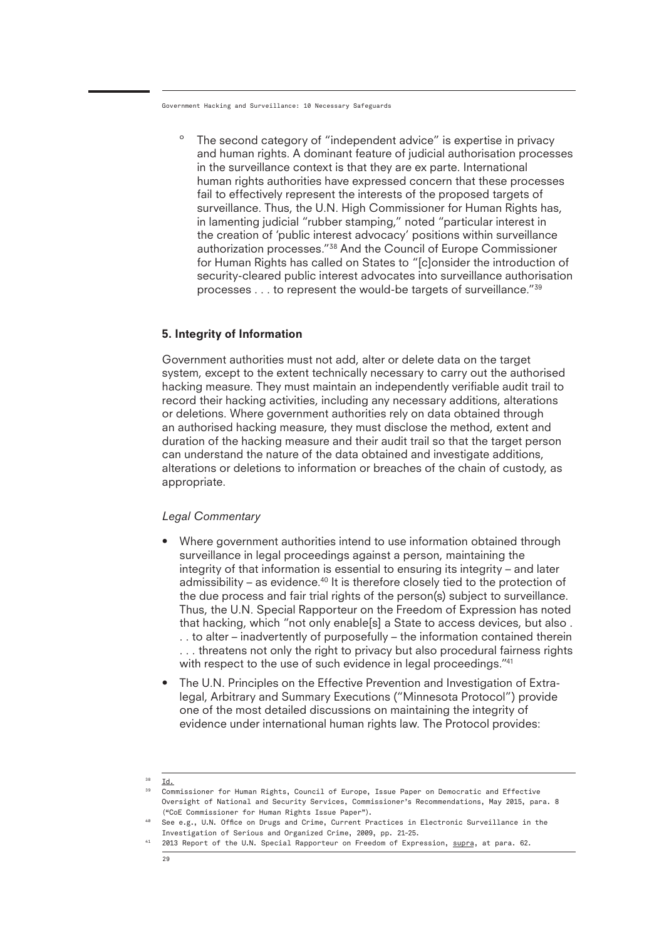The second category of "independent advice" is expertise in privacy and human rights. A dominant feature of judicial authorisation processes in the surveillance context is that they are ex parte. International human rights authorities have expressed concern that these processes fail to effectively represent the interests of the proposed targets of surveillance. Thus, the U.N. High Commissioner for Human Rights has, in lamenting judicial "rubber stamping," noted "particular interest in the creation of 'public interest advocacy' positions within surveillance authorization processes."38 And the Council of Europe Commissioner for Human Rights has called on States to "[c]onsider the introduction of security-cleared public interest advocates into surveillance authorisation processes . . . to represent the would-be targets of surveillance."39

#### 5. Integrity of Information

Government authorities must not add, alter or delete data on the target system, except to the extent technically necessary to carry out the authorised hacking measure. They must maintain an independently verifiable audit trail to record their hacking activities, including any necessary additions, alterations or deletions. Where government authorities rely on data obtained through an authorised hacking measure, they must disclose the method, extent and duration of the hacking measure and their audit trail so that the target person can understand the nature of the data obtained and investigate additions, alterations or deletions to information or breaches of the chain of custody, as appropriate.

#### *Legal Commentary*

- Where government authorities intend to use information obtained through surveillance in legal proceedings against a person, maintaining the integrity of that information is essential to ensuring its integrity – and later admissibility – as evidence.40 It is therefore closely tied to the protection of the due process and fair trial rights of the person(s) subject to surveillance. Thus, the U.N. Special Rapporteur on the Freedom of Expression has noted that hacking, which "not only enable[s] a State to access devices, but also . . . to alter – inadvertently of purposefully – the information contained therein . . . threatens not only the right to privacy but also procedural fairness rights with respect to the use of such evidence in legal proceedings."<sup>41</sup>
- The U.N. Principles on the Effective Prevention and Investigation of Extralegal, Arbitrary and Summary Executions ("Minnesota Protocol") provide one of the most detailed discussions on maintaining the integrity of evidence under international human rights law. The Protocol provides:
- 38 Id.

<sup>&</sup>lt;sup>39</sup> Commissioner for Human Rights, Council of Europe, Issue Paper on Democratic and Effective Oversight of National and Security Services, Commissioner's Recommendations, May 2015, para. 8 ("CoE Commissioner for Human Rights Issue Paper").

<sup>40</sup> 41 See e.g., U.N. Office on Drugs and Crime, Current Practices in Electronic Surveillance in the Investigation of Serious and Organized Crime, 2009, pp. 21-25.

<sup>2013</sup> Report of the U.N. Special Rapporteur on Freedom of Expression, supra, at para. 62.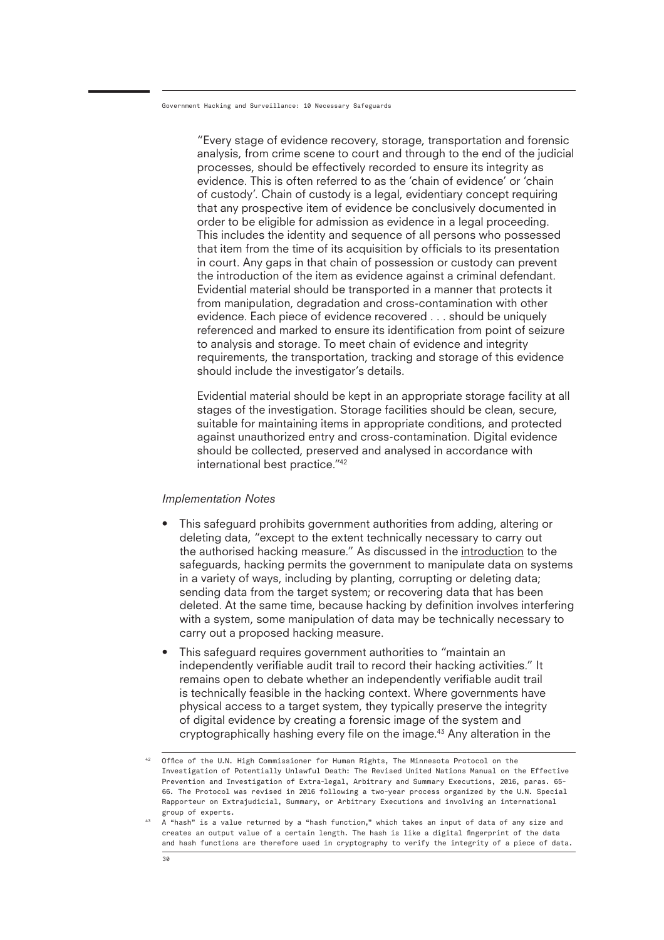"Every stage of evidence recovery, storage, transportation and forensic analysis, from crime scene to court and through to the end of the judicial processes, should be effectively recorded to ensure its integrity as evidence. This is often referred to as the 'chain of evidence' or 'chain of custody'. Chain of custody is a legal, evidentiary concept requiring that any prospective item of evidence be conclusively documented in order to be eligible for admission as evidence in a legal proceeding. This includes the identity and sequence of all persons who possessed that item from the time of its acquisition by officials to its presentation in court. Any gaps in that chain of possession or custody can prevent the introduction of the item as evidence against a criminal defendant. Evidential material should be transported in a manner that protects it from manipulation, degradation and cross-contamination with other evidence. Each piece of evidence recovered . . . should be uniquely referenced and marked to ensure its identification from point of seizure to analysis and storage. To meet chain of evidence and integrity requirements, the transportation, tracking and storage of this evidence should include the investigator's details.

Evidential material should be kept in an appropriate storage facility at all stages of the investigation. Storage facilities should be clean, secure, suitable for maintaining items in appropriate conditions, and protected against unauthorized entry and cross-contamination. Digital evidence should be collected, preserved and analysed in accordance with international best practice."42

#### *Implementation Notes*

- This safeguard prohibits government authorities from adding, altering or deleting data, "except to the extent technically necessary to carry out the authorised hacking measure." As discussed in the introduction to the safeguards, hacking permits the government to manipulate data on systems in a variety of ways, including by planting, corrupting or deleting data; sending data from the target system; or recovering data that has been deleted. At the same time, because hacking by definition involves interfering with a system, some manipulation of data may be technically necessary to carry out a proposed hacking measure.
- This safeguard requires government authorities to "maintain an independently verifiable audit trail to record their hacking activities." It remains open to debate whether an independently verifiable audit trail is technically feasible in the hacking context. Where governments have physical access to a target system, they typically preserve the integrity of digital evidence by creating a forensic image of the system and cryptographically hashing every file on the image.<sup>43</sup> Any alteration in the

<sup>42</sup> Office of the U.N. High Commissioner for Human Rights, The Minnesota Protocol on the Investigation of Potentially Unlawful Death: The Revised United Nations Manual on the Effective Prevention and Investigation of Extra-legal, Arbitrary and Summary Executions, 2016, paras. 65- 66. The Protocol was revised in 2016 following a two-year process organized by the U.N. Special Rapporteur on Extrajudicial, Summary, or Arbitrary Executions and involving an international group of experts.

<sup>43</sup> A "hash" is a value returned by a "hash function," which takes an input of data of any size and creates an output value of a certain length. The hash is like a digital fingerprint of the data and hash functions are therefore used in cryptography to verify the integrity of a piece of data.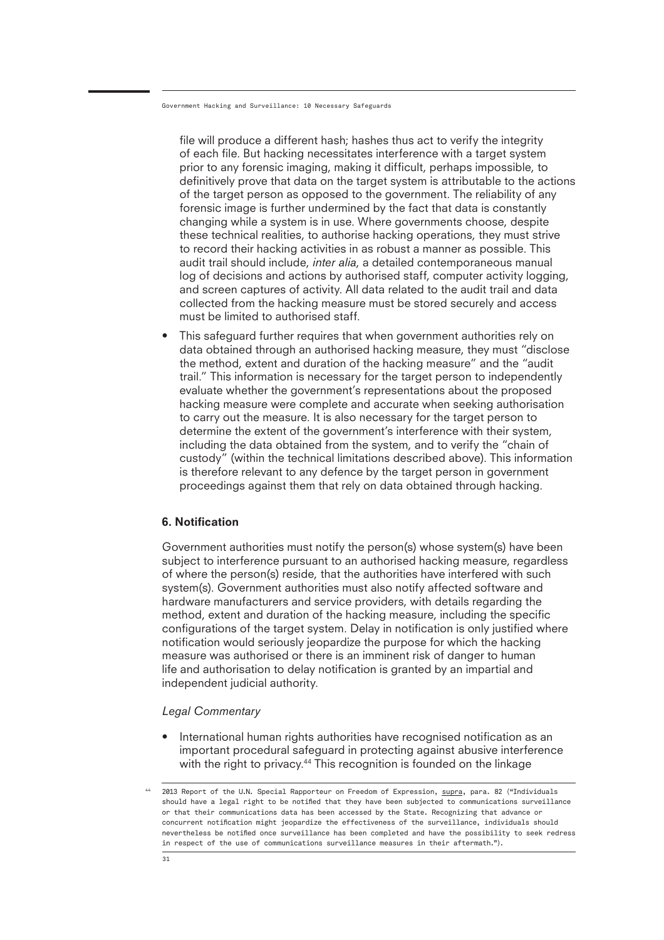file will produce a different hash; hashes thus act to verify the integrity of each file. But hacking necessitates interference with a target system prior to any forensic imaging, making it difficult, perhaps impossible, to definitively prove that data on the target system is attributable to the actions of the target person as opposed to the government. The reliability of any forensic image is further undermined by the fact that data is constantly changing while a system is in use. Where governments choose, despite these technical realities, to authorise hacking operations, they must strive to record their hacking activities in as robust a manner as possible. This audit trail should include, *inter alia*, a detailed contemporaneous manual log of decisions and actions by authorised staff, computer activity logging, and screen captures of activity. All data related to the audit trail and data collected from the hacking measure must be stored securely and access must be limited to authorised staff.

This safeguard further requires that when government authorities rely on data obtained through an authorised hacking measure, they must "disclose the method, extent and duration of the hacking measure" and the "audit trail." This information is necessary for the target person to independently evaluate whether the government's representations about the proposed hacking measure were complete and accurate when seeking authorisation to carry out the measure. It is also necessary for the target person to determine the extent of the government's interference with their system, including the data obtained from the system, and to verify the "chain of custody" (within the technical limitations described above). This information is therefore relevant to any defence by the target person in government proceedings against them that rely on data obtained through hacking.

#### 6. Notification

Government authorities must notify the person(s) whose system(s) have been subject to interference pursuant to an authorised hacking measure, regardless of where the person(s) reside, that the authorities have interfered with such system(s). Government authorities must also notify affected software and hardware manufacturers and service providers, with details regarding the method, extent and duration of the hacking measure, including the specific configurations of the target system. Delay in notification is only justified where notification would seriously jeopardize the purpose for which the hacking measure was authorised or there is an imminent risk of danger to human life and authorisation to delay notification is granted by an impartial and independent judicial authority.

#### *Legal Commentary*

International human rights authorities have recognised notification as an important procedural safeguard in protecting against abusive interference with the right to privacy.<sup>44</sup> This recognition is founded on the linkage

<sup>2013</sup> Report of the U.N. Special Rapporteur on Freedom of Expression, supra, para. 82 ("Individuals should have a legal right to be notified that they have been subjected to communications surveillance or that their communications data has been accessed by the State. Recognizing that advance or concurrent notification might jeopardize the effectiveness of the surveillance, individuals should nevertheless be notified once surveillance has been completed and have the possibility to seek redress in respect of the use of communications surveillance measures in their aftermath.").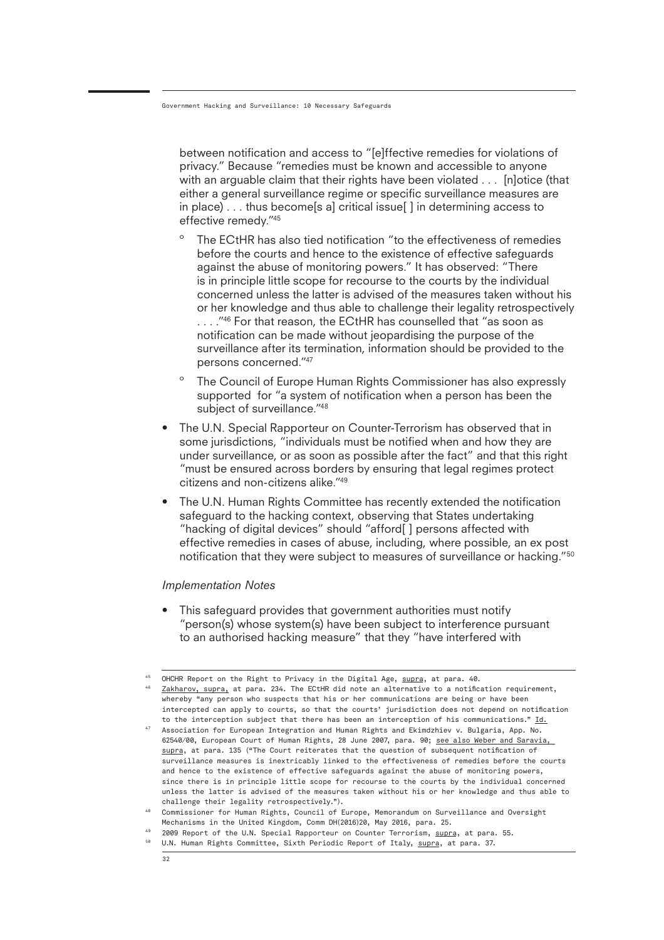between notification and access to "[e]ffective remedies for violations of privacy." Because "remedies must be known and accessible to anyone with an arguable claim that their rights have been violated . . . [n]otice (that either a general surveillance regime or specific surveillance measures are in place) . . . thus become[s a] critical issue[ ] in determining access to effective remedy."45

- The ECtHR has also tied notification "to the effectiveness of remedies before the courts and hence to the existence of effective safeguards against the abuse of monitoring powers." It has observed: "There is in principle little scope for recourse to the courts by the individual concerned unless the latter is advised of the measures taken without his or her knowledge and thus able to challenge their legality retrospectively ...."<sup>46</sup> For that reason, the ECtHR has counselled that "as soon as notification can be made without jeopardising the purpose of the surveillance after its termination, information should be provided to the persons concerned."47
- º The Council of Europe Human Rights Commissioner has also expressly supported for "a system of notification when a person has been the subject of surveillance."48
- The U.N. Special Rapporteur on Counter-Terrorism has observed that in some jurisdictions, "individuals must be notified when and how they are under surveillance, or as soon as possible after the fact" and that this right "must be ensured across borders by ensuring that legal regimes protect citizens and non-citizens alike."49
- The U.N. Human Rights Committee has recently extended the notification safeguard to the hacking context, observing that States undertaking "hacking of digital devices" should "afford[ ] persons affected with effective remedies in cases of abuse, including, where possible, an ex post notification that they were subject to measures of surveillance or hacking."50

#### *Implementation Notes*

• This safeguard provides that government authorities must notify "person(s) whose system(s) have been subject to interference pursuant to an authorised hacking measure" that they "have interfered with

<sup>45</sup> OHCHR Report on the Right to Privacy in the Digital Age, supra, at para. 40.

<sup>46</sup> Zakharov, supra, at para. 234. The ECtHR did note an alternative to a notification requirement, whereby "any person who suspects that his or her communications are being or have been intercepted can apply to courts, so that the courts' jurisdiction does not depend on notification to the interception subject that there has been an interception of his communications."  $\underline{Id.}$ 

 $^{47}$  Association for European Integration and Human Rights and Ekimdzhiev v. Bulgaria, App. No. 62540/00, European Court of Human Rights, 28 June 2007, para. 90; see also Weber and Saravia, supra, at para. 135 ("The Court reiterates that the question of subsequent notification of surveillance measures is inextricably linked to the effectiveness of remedies before the courts and hence to the existence of effective safeguards against the abuse of monitoring powers, since there is in principle little scope for recourse to the courts by the individual concerned unless the latter is advised of the measures taken without his or her knowledge and thus able to challenge their legality retrospectively.").

<sup>48</sup> Commissioner for Human Rights, Council of Europe, Memorandum on Surveillance and Oversight Mechanisms in the United Kingdom, Comm DH(2016)20, May 2016, para. 25.

<sup>49</sup> <sup>50</sup> U.N. Human Rights Committee, Sixth Periodic Report of Italy, <u>supra,</u> at para. 37. 2009 Report of the U.N. Special Rapporteur on Counter Terrorism, supra, at para. 55.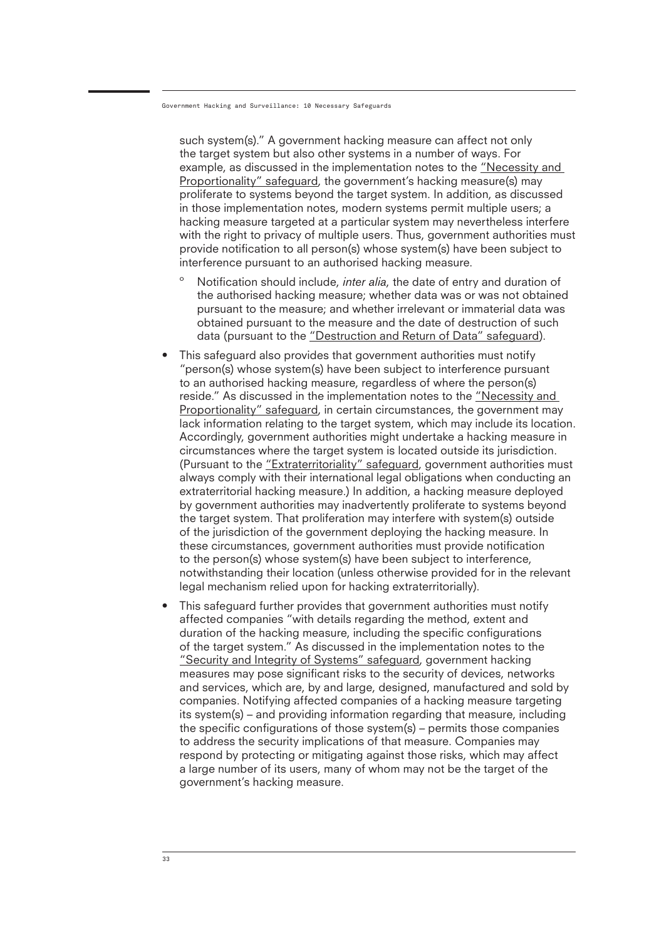such system(s)." A government hacking measure can affect not only the target system but also other systems in a number of ways. For example, as discussed in the implementation notes to the "Necessity and Proportionality" safeguard, the government's hacking measure(s) may proliferate to systems beyond the target system. In addition, as discussed in those implementation notes, modern systems permit multiple users; a hacking measure targeted at a particular system may nevertheless interfere with the right to privacy of multiple users. Thus, government authorities must provide notification to all person(s) whose system(s) have been subject to interference pursuant to an authorised hacking measure.

- Notification should include, *inter alia*, the date of entry and duration of the authorised hacking measure; whether data was or was not obtained pursuant to the measure; and whether irrelevant or immaterial data was obtained pursuant to the measure and the date of destruction of such data (pursuant to the "Destruction and Return of Data" safeguard).
- This safeguard also provides that government authorities must notify "person(s) whose system(s) have been subject to interference pursuant to an authorised hacking measure, regardless of where the person(s) reside." As discussed in the implementation notes to the "Necessity and Proportionality" safeguard, in certain circumstances, the government may lack information relating to the target system, which may include its location. Accordingly, government authorities might undertake a hacking measure in circumstances where the target system is located outside its jurisdiction. (Pursuant to the "Extraterritoriality" safeguard, government authorities must always comply with their international legal obligations when conducting an extraterritorial hacking measure.) In addition, a hacking measure deployed by government authorities may inadvertently proliferate to systems beyond the target system. That proliferation may interfere with system(s) outside of the jurisdiction of the government deploying the hacking measure. In these circumstances, government authorities must provide notification to the person(s) whose system(s) have been subject to interference, notwithstanding their location (unless otherwise provided for in the relevant legal mechanism relied upon for hacking extraterritorially).
- This safeguard further provides that government authorities must notify affected companies "with details regarding the method, extent and duration of the hacking measure, including the specific configurations of the target system." As discussed in the implementation notes to the "Security and Integrity of Systems" safeguard, government hacking measures may pose significant risks to the security of devices, networks and services, which are, by and large, designed, manufactured and sold by companies. Notifying affected companies of a hacking measure targeting its system(s) – and providing information regarding that measure, including the specific configurations of those system(s) – permits those companies to address the security implications of that measure. Companies may respond by protecting or mitigating against those risks, which may affect a large number of its users, many of whom may not be the target of the government's hacking measure.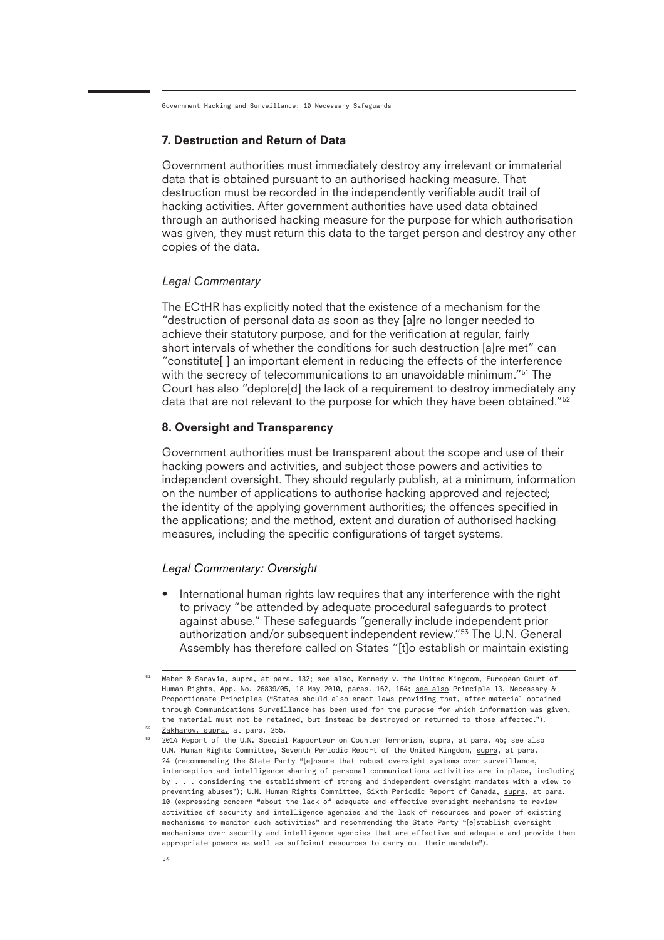### 7. Destruction and Return of Data

Government authorities must immediately destroy any irrelevant or immaterial data that is obtained pursuant to an authorised hacking measure. That destruction must be recorded in the independently verifiable audit trail of hacking activities. After government authorities have used data obtained through an authorised hacking measure for the purpose for which authorisation was given, they must return this data to the target person and destroy any other copies of the data.

#### *Legal Commentary*

The ECtHR has explicitly noted that the existence of a mechanism for the "destruction of personal data as soon as they [a]re no longer needed to achieve their statutory purpose, and for the verification at regular, fairly short intervals of whether the conditions for such destruction [a]re met" can "constitute[ ] an important element in reducing the effects of the interference with the secrecy of telecommunications to an unavoidable minimum."<sup>51</sup> The Court has also "deplore[d] the lack of a requirement to destroy immediately any data that are not relevant to the purpose for which they have been obtained."<sup>52</sup>

#### 8. Oversight and Transparency

Government authorities must be transparent about the scope and use of their hacking powers and activities, and subject those powers and activities to independent oversight. They should regularly publish, at a minimum, information on the number of applications to authorise hacking approved and rejected; the identity of the applying government authorities; the offences specified in the applications; and the method, extent and duration of authorised hacking measures, including the specific configurations of target systems.

#### *Legal Commentary: Oversight*

• International human rights law requires that any interference with the right to privacy "be attended by adequate procedural safeguards to protect against abuse." These safeguards "generally include independent prior authorization and/or subsequent independent review."53 The U.N. General Assembly has therefore called on States "[t]o establish or maintain existing

 $^{51}$  <u>Weber & Saravia, supra,</u> at para. 132; <u>see also,</u> Kennedy v. the United Kingdom, European Court of Human Rights, App. No. 26839/05, 18 May 2010, paras. 162, 164; see also Principle 13, Necessary & Proportionate Principles ("States should also enact laws providing that, after material obtained through Communications Surveillance has been used for the purpose for which information was given, the material must not be retained, but instead be destroyed or returned to those affected.").

<sup>&</sup>lt;sup>52</sup> Zakharov, supra, at para. 255.

<sup>53</sup> 2014 Report of the U.N. Special Rapporteur on Counter Terrorism, supra, at para. 45; see also U.N. Human Rights Committee, Seventh Periodic Report of the United Kingdom, supra, at para. 24 (recommending the State Party "[e]nsure that robust oversight systems over surveillance, interception and intelligence-sharing of personal communications activities are in place, including by . . . considering the establishment of strong and independent oversight mandates with a view to preventing abuses"); U.N. Human Rights Committee, Sixth Periodic Report of Canada, supra, at para. 10 (expressing concern "about the lack of adequate and effective oversight mechanisms to review activities of security and intelligence agencies and the lack of resources and power of existing mechanisms to monitor such activities" and recommending the State Party "[e]stablish oversight mechanisms over security and intelligence agencies that are effective and adequate and provide them appropriate powers as well as sufficient resources to carry out their mandate").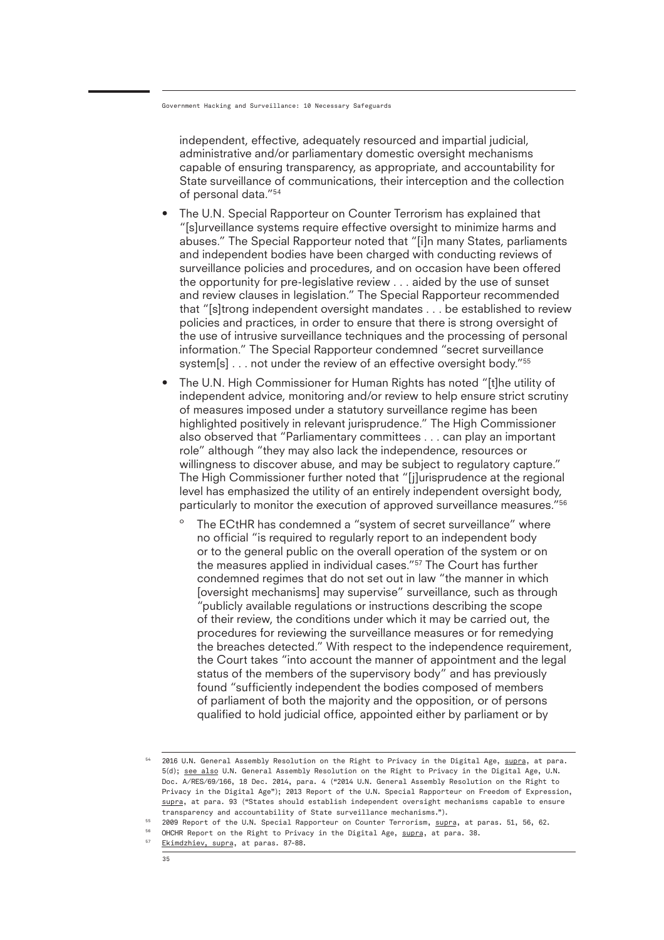independent, effective, adequately resourced and impartial judicial, administrative and/or parliamentary domestic oversight mechanisms capable of ensuring transparency, as appropriate, and accountability for State surveillance of communications, their interception and the collection of personal data."54

- The U.N. Special Rapporteur on Counter Terrorism has explained that "[s]urveillance systems require effective oversight to minimize harms and abuses." The Special Rapporteur noted that "[i]n many States, parliaments and independent bodies have been charged with conducting reviews of surveillance policies and procedures, and on occasion have been offered the opportunity for pre-legislative review . . . aided by the use of sunset and review clauses in legislation." The Special Rapporteur recommended that "[s]trong independent oversight mandates . . . be established to review policies and practices, in order to ensure that there is strong oversight of the use of intrusive surveillance techniques and the processing of personal information." The Special Rapporteur condemned "secret surveillance system[s] . . . not under the review of an effective oversight body."<sup>55</sup>
- The U.N. High Commissioner for Human Rights has noted "[t]he utility of independent advice, monitoring and/or review to help ensure strict scrutiny of measures imposed under a statutory surveillance regime has been highlighted positively in relevant jurisprudence." The High Commissioner also observed that "Parliamentary committees . . . can play an important role" although "they may also lack the independence, resources or willingness to discover abuse, and may be subject to regulatory capture." The High Commissioner further noted that "[j]urisprudence at the regional level has emphasized the utility of an entirely independent oversight body, particularly to monitor the execution of approved surveillance measures."56
	- º The ECtHR has condemned a "system of secret surveillance" where no official "is required to regularly report to an independent body or to the general public on the overall operation of the system or on the measures applied in individual cases."57 The Court has further condemned regimes that do not set out in law "the manner in which [oversight mechanisms] may supervise" surveillance, such as through "publicly available regulations or instructions describing the scope of their review, the conditions under which it may be carried out, the procedures for reviewing the surveillance measures or for remedying the breaches detected." With respect to the independence requirement, the Court takes "into account the manner of appointment and the legal status of the members of the supervisory body" and has previously found "sufficiently independent the bodies composed of members of parliament of both the majority and the opposition, or of persons qualified to hold judicial office, appointed either by parliament or by

- 56  $57$ OHCHR Report on the Right to Privacy in the Digital Age, supra, at para. 38.
	- Ekimdzhiev, supra, at paras. 87-88.

 $^{54}$  2016 U.N. General Assembly Resolution on the Right to Privacy in the Digital Age, <u>supra</u>, at para. 5(d); see also U.N. General Assembly Resolution on the Right to Privacy in the Digital Age, U.N. Doc. A/RES/69/166, 18 Dec. 2014, para. 4 ("2014 U.N. General Assembly Resolution on the Right to Privacy in the Digital Age"); 2013 Report of the U.N. Special Rapporteur on Freedom of Expression, supra, at para. 93 ("States should establish independent oversight mechanisms capable to ensure transparency and accountability of State surveillance mechanisms.").

 $^\mathrm{55}$  2009 Report of the U.N. Special Rapporteur on Counter Terrorism, <u>supra,</u> at paras. 51, 56, 62.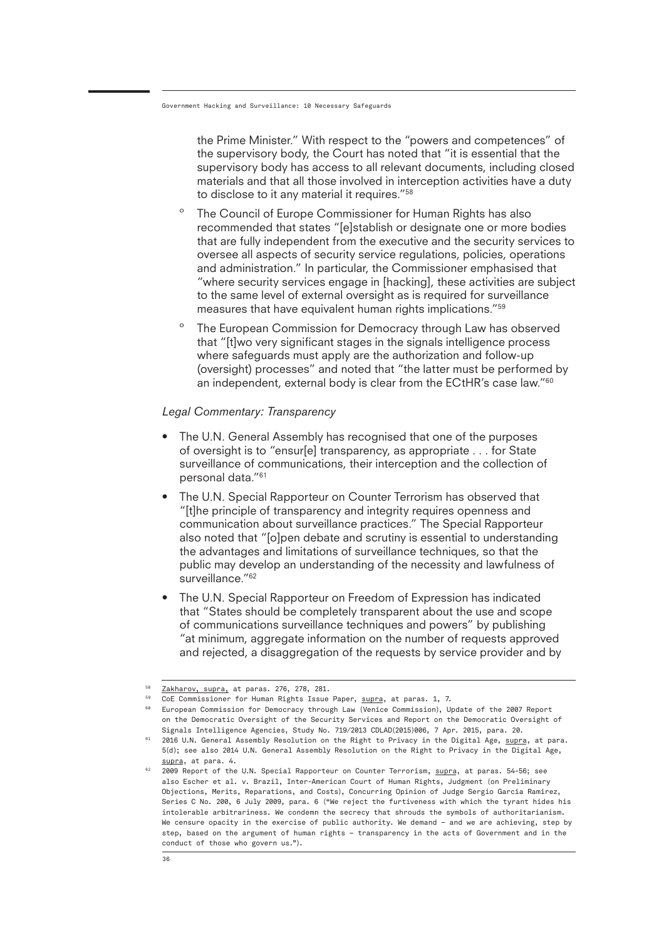the Prime Minister." With respect to the "powers and competences" of the supervisory body, the Court has noted that "it is essential that the supervisory body has access to all relevant documents, including closed materials and that all those involved in interception activities have a duty to disclose to it any material it requires."<sup>58</sup>

- º The Council of Europe Commissioner for Human Rights has also recommended that states "[e]stablish or designate one or more bodies that are fully independent from the executive and the security services to oversee all aspects of security service regulations, policies, operations and administration." In particular, the Commissioner emphasised that "where security services engage in [hacking], these activities are subject to the same level of external oversight as is required for surveillance measures that have equivalent human rights implications."59
- The European Commission for Democracy through Law has observed that "[t]wo very significant stages in the signals intelligence process where safeguards must apply are the authorization and follow-up (oversight) processes" and noted that "the latter must be performed by an independent, external body is clear from the ECtHR's case law."<sup>60</sup>

#### *Legal Commentary: Transparency*

- The U.N. General Assembly has recognised that one of the purposes of oversight is to "ensur[e] transparency, as appropriate . . . for State surveillance of communications, their interception and the collection of personal data."61
- The U.N. Special Rapporteur on Counter Terrorism has observed that "[t]he principle of transparency and integrity requires openness and communication about surveillance practices." The Special Rapporteur also noted that "[o]pen debate and scrutiny is essential to understanding the advantages and limitations of surveillance techniques, so that the public may develop an understanding of the necessity and lawfulness of surveillance."<sup>62</sup>
- The U.N. Special Rapporteur on Freedom of Expression has indicated that "States should be completely transparent about the use and scope of communications surveillance techniques and powers" by publishing "at minimum, aggregate information on the number of requests approved and rejected, a disaggregation of the requests by service provider and by

<sup>58</sup> Zakharov, supra, at paras. 276, 278, 281.

<sup>&</sup>lt;sup>59</sup> CoE Commissioner for Human Rights Issue Paper, <u>supra,</u> at paras. 1, 7.

 $^{\text{\tiny{60}}}$  European Commission for Democracy through Law (Venice Commission), Update of the 2007 Report on the Democratic Oversight of the Security Services and Report on the Democratic Oversight of Signals Intelligence Agencies, Study No. 719/2013 CDLAD(2015)006, 7 Apr. 2015, para. 20.

<sup>61</sup> 2016 U.N. General Assembly Resolution on the Right to Privacy in the Digital Age, supra, at para. 5(d); see also 2014 U.N. General Assembly Resolution on the Right to Privacy in the Digital Age, supra, at para. 4.

<sup>62</sup> 2009 Report of the U.N. Special Rapporteur on Counter Terrorism, supra, at paras. 54-56; see also Escher et al. v. Brazil, Inter-American Court of Human Rights, Judgment (on Preliminary Objections, Merits, Reparations, and Costs), Concurring Opinion of Judge Sergio García Ramírez, Series C No. 200, 6 July 2009, para. 6 ("We reject the furtiveness with which the tyrant hides his intolerable arbitrariness. We condemn the secrecy that shrouds the symbols of authoritarianism. We censure opacity in the exercise of public authority. We demand – and we are achieving, step by step, based on the argument of human rights – transparency in the acts of Government and in the conduct of those who govern us.").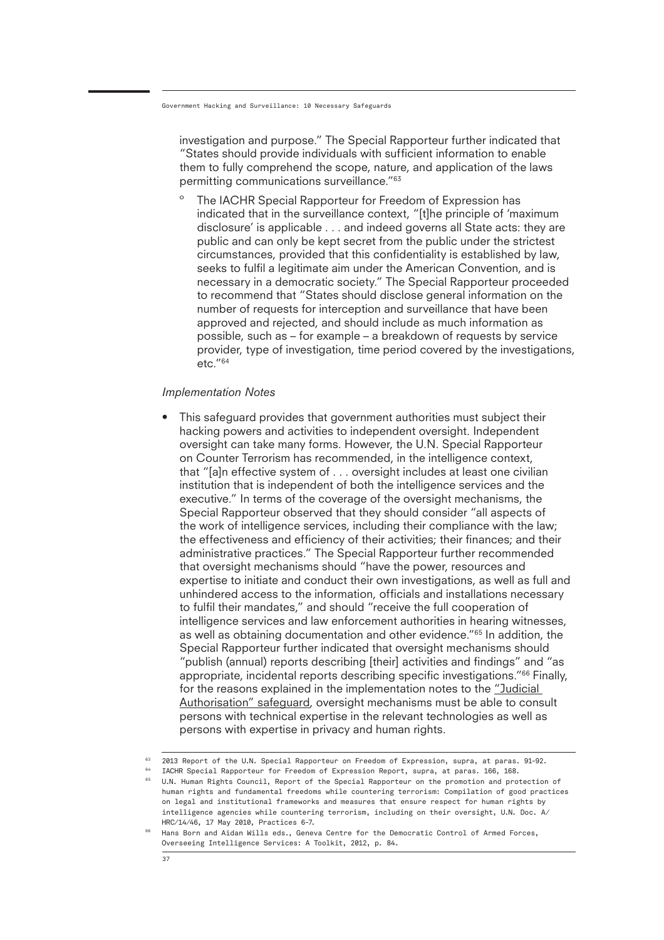investigation and purpose." The Special Rapporteur further indicated that "States should provide individuals with sufficient information to enable them to fully comprehend the scope, nature, and application of the laws permitting communications surveillance."63

The IACHR Special Rapporteur for Freedom of Expression has indicated that in the surveillance context, "[t]he principle of 'maximum disclosure' is applicable . . . and indeed governs all State acts: they are public and can only be kept secret from the public under the strictest circumstances, provided that this confidentiality is established by law, seeks to fulfil a legitimate aim under the American Convention, and is necessary in a democratic society." The Special Rapporteur proceeded to recommend that "States should disclose general information on the number of requests for interception and surveillance that have been approved and rejected, and should include as much information as possible, such as – for example – a breakdown of requests by service provider, type of investigation, time period covered by the investigations,  $etc.<sub>164</sub>$ 

#### *Implementation Notes*

• This safeguard provides that government authorities must subject their hacking powers and activities to independent oversight. Independent oversight can take many forms. However, the U.N. Special Rapporteur on Counter Terrorism has recommended, in the intelligence context, that "[a]n effective system of . . . oversight includes at least one civilian institution that is independent of both the intelligence services and the executive." In terms of the coverage of the oversight mechanisms, the Special Rapporteur observed that they should consider "all aspects of the work of intelligence services, including their compliance with the law; the effectiveness and efficiency of their activities; their finances; and their administrative practices." The Special Rapporteur further recommended that oversight mechanisms should "have the power, resources and expertise to initiate and conduct their own investigations, as well as full and unhindered access to the information, officials and installations necessary to fulfil their mandates," and should "receive the full cooperation of intelligence services and law enforcement authorities in hearing witnesses, as well as obtaining documentation and other evidence."65 In addition, the Special Rapporteur further indicated that oversight mechanisms should "publish (annual) reports describing [their] activities and findings" and "as appropriate, incidental reports describing specific investigations."66 Finally, for the reasons explained in the implementation notes to the "Judicial Authorisation" safeguard, oversight mechanisms must be able to consult persons with technical expertise in the relevant technologies as well as persons with expertise in privacy and human rights.

 $63$  2013 Report of the U.N. Special Rapporteur on Freedom of Expression, supra, at paras. 91-92.

<sup>64</sup> IACHR Special Rapporteur for Freedom of Expression Report, supra, at paras. 166, 168.

 $^{65}$  U.N. Human Rights Council, Report of the Special Rapporteur on the promotion and protection of human rights and fundamental freedoms while countering terrorism: Compilation of good practices on legal and institutional frameworks and measures that ensure respect for human rights by intelligence agencies while countering terrorism, including on their oversight, U.N. Doc. A/ HRC/14/46, 17 May 2010, Practices 6-7.

<sup>66</sup> Hans Born and Aidan Wills eds., Geneva Centre for the Democratic Control of Armed Forces, Overseeing Intelligence Services: A Toolkit, 2012, p. 84.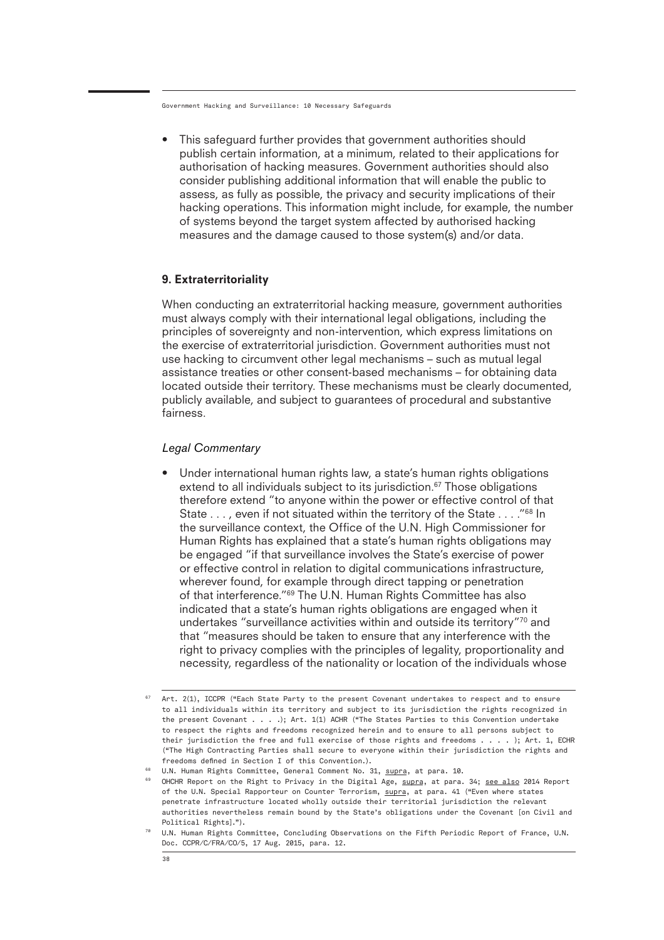• This safeguard further provides that government authorities should publish certain information, at a minimum, related to their applications for authorisation of hacking measures. Government authorities should also consider publishing additional information that will enable the public to assess, as fully as possible, the privacy and security implications of their hacking operations. This information might include, for example, the number of systems beyond the target system affected by authorised hacking measures and the damage caused to those system(s) and/or data.

#### 9. Extraterritoriality

When conducting an extraterritorial hacking measure, government authorities must always comply with their international legal obligations, including the principles of sovereignty and non-intervention, which express limitations on the exercise of extraterritorial jurisdiction. Government authorities must not use hacking to circumvent other legal mechanisms – such as mutual legal assistance treaties or other consent-based mechanisms – for obtaining data located outside their territory. These mechanisms must be clearly documented, publicly available, and subject to guarantees of procedural and substantive fairness.

#### *Legal Commentary*

Under international human rights law, a state's human rights obligations extend to all individuals subject to its jurisdiction.<sup>67</sup> Those obligations therefore extend "to anyone within the power or effective control of that State . . . , even if not situated within the territory of the State . . . ."68 In the surveillance context, the Office of the U.N. High Commissioner for Human Rights has explained that a state's human rights obligations may be engaged "if that surveillance involves the State's exercise of power or effective control in relation to digital communications infrastructure, wherever found, for example through direct tapping or penetration of that interference."69 The U.N. Human Rights Committee has also indicated that a state's human rights obligations are engaged when it undertakes "surveillance activities within and outside its territory"70 and that "measures should be taken to ensure that any interference with the right to privacy complies with the principles of legality, proportionality and necessity, regardless of the nationality or location of the individuals whose

 $67$  Art. 2(1), ICCPR ("Each State Party to the present Covenant undertakes to respect and to ensure to all individuals within its territory and subject to its jurisdiction the rights recognized in the present Covenant . . . .); Art. 1(1) ACHR ("The States Parties to this Convention undertake to respect the rights and freedoms recognized herein and to ensure to all persons subject to their jurisdiction the free and full exercise of those rights and freedoms . . . . ); Art. 1, ECHR ("The High Contracting Parties shall secure to everyone within their jurisdiction the rights and freedoms defined in Section I of this Convention.).

<sup>&</sup>lt;sup>68</sup> U.N. Human Rights Committee, General Comment No. 31, <u>supra,</u> at para. 10.

 $^{\rm 69}$   $\,$  OHCHR Report on the Right to Privacy in the Digital Age,  $\rm suppra$ , at para. 34; <u>see also</u> 2014 Report of the U.N. Special Rapporteur on Counter Terrorism, supra, at para. 41 ("Even where states penetrate infrastructure located wholly outside their territorial jurisdiction the relevant authorities nevertheless remain bound by the State's obligations under the Covenant [on Civil and Political Rights].").

<sup>70</sup> U.N. Human Rights Committee, Concluding Observations on the Fifth Periodic Report of France, U.N. Doc. CCPR/C/FRA/CO/5, 17 Aug. 2015, para. 12.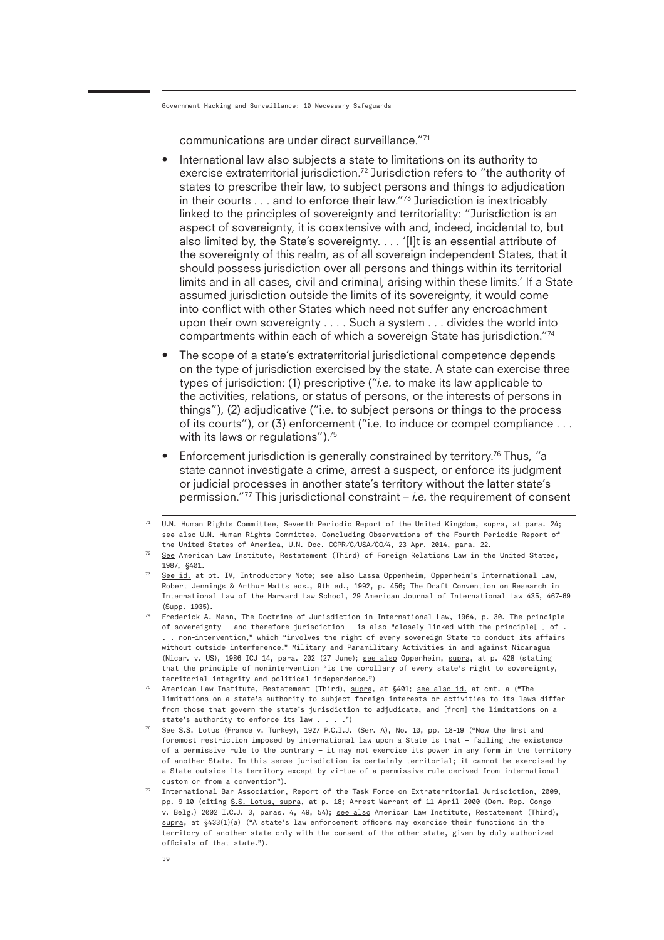communications are under direct surveillance."71

- International law also subjects a state to limitations on its authority to exercise extraterritorial jurisdiction.<sup>72</sup> Jurisdiction refers to "the authority of states to prescribe their law, to subject persons and things to adjudication in their courts . . . and to enforce their law."73 Jurisdiction is inextricably linked to the principles of sovereignty and territoriality: "Jurisdiction is an aspect of sovereignty, it is coextensive with and, indeed, incidental to, but also limited by, the State's sovereignty. . . . '[I]t is an essential attribute of the sovereignty of this realm, as of all sovereign independent States, that it should possess jurisdiction over all persons and things within its territorial limits and in all cases, civil and criminal, arising within these limits.' If a State assumed jurisdiction outside the limits of its sovereignty, it would come into conflict with other States which need not suffer any encroachment upon their own sovereignty . . . . Such a system . . . divides the world into compartments within each of which a sovereign State has jurisdiction."74
- The scope of a state's extraterritorial jurisdictional competence depends on the type of jurisdiction exercised by the state. A state can exercise three types of jurisdiction: (1) prescriptive ("*i.e.* to make its law applicable to the activities, relations, or status of persons, or the interests of persons in things"), (2) adjudicative ("i.e. to subject persons or things to the process of its courts"), or (3) enforcement ("i.e. to induce or compel compliance . . . with its laws or regulations").<sup>75</sup>
- Enforcement jurisdiction is generally constrained by territory.<sup>76</sup> Thus, "a state cannot investigate a crime, arrest a suspect, or enforce its judgment or judicial processes in another state's territory without the latter state's permission."77 This jurisdictional constraint – *i.e.* the requirement of consent

- 73 See id. at pt. IV, Introductory Note; see also Lassa Oppenheim, Oppenheim's International Law, Robert Jennings & Arthur Watts eds., 9th ed., 1992, p. 456; The Draft Convention on Research in International Law of the Harvard Law School, 29 American Journal of International Law 435, 467-69 (Supp. 1935).
- 74 Frederick A. Mann, The Doctrine of Jurisdiction in International Law, 1964, p. 30. The principle of sovereignty – and therefore jurisdiction – is also "closely linked with the principle[ ] of . . . non-intervention," which "involves the right of every sovereign State to conduct its affairs without outside interference." Military and Paramilitary Activities in and against Nicaragua (Nicar. v. US), 1986 ICJ 14, para. 202 (27 June); see also Oppenheim, supra, at p. 428 (stating that the principle of nonintervention "is the corollary of every state's right to sovereignty, territorial integrity and political independence.")
- <sup>75</sup> American Law Institute, Restatement (Third), <u>supra,</u> at §401; <u>see also id.</u> at cmt. a ("The limitations on a state's authority to subject foreign interests or activities to its laws differ from those that govern the state's jurisdiction to adjudicate, and [from] the limitations on a state's authority to enforce its law . . . .")
- $^{76}$  See S.S. Lotus (France v. Turkey), 1927 P.C.I.J. (Ser. A), No. 10, pp. 18-19 ("Now the first and foremost restriction imposed by international law upon a State is that – failing the existence of a permissive rule to the contrary – it may not exercise its power in any form in the territory of another State. In this sense jurisdiction is certainly territorial; it cannot be exercised by a State outside its territory except by virtue of a permissive rule derived from international custom or from a convention").

<sup>&</sup>lt;sup>71</sup> U.N. Human Rights Committee, Seventh Periodic Report of the United Kingdom, <u>supra,</u> at para. 24; see also U.N. Human Rights Committee, Concluding Observations of the Fourth Periodic Report of the United States of America, U.N. Doc. CCPR/C/USA/CO/4, 23 Apr. 2014, para. 22.

 $72$  See American Law Institute, Restatement (Third) of Foreign Relations Law in the United States, 1987, §401.

 $77$  International Bar Association, Report of the Task Force on Extraterritorial Jurisdiction, 2009, pp. 9-10 (citing S.S. Lotus, supra, at p. 18; Arrest Warrant of 11 April 2000 (Dem. Rep. Congo v. Belg.) 2002 I.C.J. 3, paras. 4, 49, 54); see also American Law Institute, Restatement (Third), supra, at §433(1)(a) ("A state's law enforcement officers may exercise their functions in the territory of another state only with the consent of the other state, given by duly authorized officials of that state.").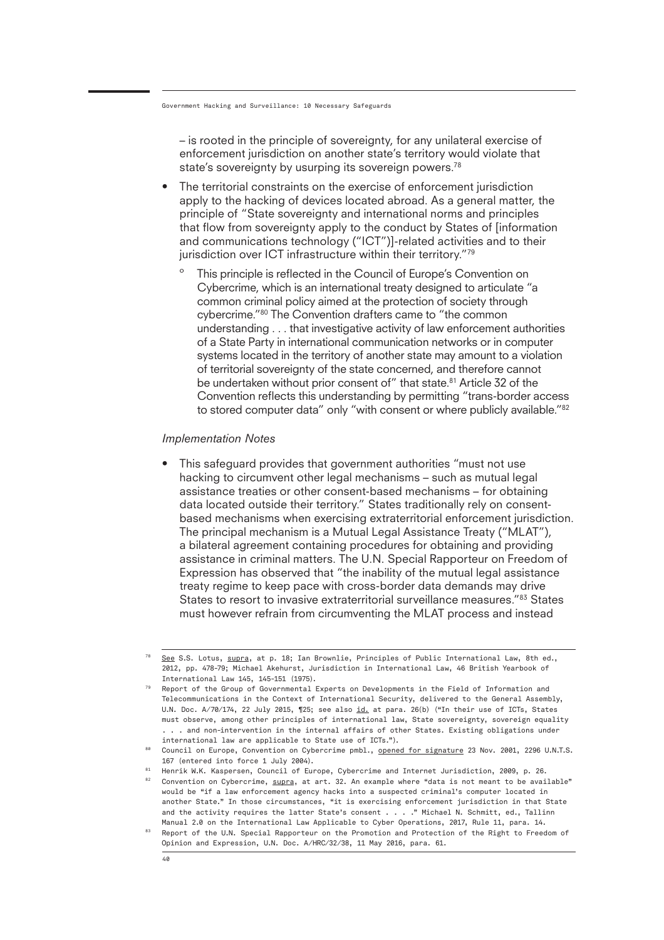– is rooted in the principle of sovereignty, for any unilateral exercise of enforcement jurisdiction on another state's territory would violate that state's sovereignty by usurping its sovereign powers.<sup>78</sup>

- The territorial constraints on the exercise of enforcement jurisdiction apply to the hacking of devices located abroad. As a general matter, the principle of "State sovereignty and international norms and principles that flow from sovereignty apply to the conduct by States of [information and communications technology ("ICT")]-related activities and to their jurisdiction over ICT infrastructure within their territory."79
	- This principle is reflected in the Council of Europe's Convention on Cybercrime, which is an international treaty designed to articulate "a common criminal policy aimed at the protection of society through cybercrime."80 The Convention drafters came to "the common understanding . . . that investigative activity of law enforcement authorities of a State Party in international communication networks or in computer systems located in the territory of another state may amount to a violation of territorial sovereignty of the state concerned, and therefore cannot be undertaken without prior consent of" that state.<sup>81</sup> Article 32 of the Convention reflects this understanding by permitting "trans-border access to stored computer data" only "with consent or where publicly available."<sup>82</sup>

#### *Implementation Notes*

• This safeguard provides that government authorities "must not use hacking to circumvent other legal mechanisms – such as mutual legal assistance treaties or other consent-based mechanisms – for obtaining data located outside their territory." States traditionally rely on consentbased mechanisms when exercising extraterritorial enforcement jurisdiction. The principal mechanism is a Mutual Legal Assistance Treaty ("MLAT"), a bilateral agreement containing procedures for obtaining and providing assistance in criminal matters. The U.N. Special Rapporteur on Freedom of Expression has observed that "the inability of the mutual legal assistance treaty regime to keep pace with cross-border data demands may drive States to resort to invasive extraterritorial surveillance measures."83 States must however refrain from circumventing the MLAT process and instead

<sup>78</sup> See S.S. Lotus, supra, at p. 18; Ian Brownlie, Principles of Public International Law, 8th ed., 2012, pp. 478-79; Michael Akehurst, Jurisdiction in International Law, 46 British Yearbook of International Law 145, 145-151 (1975).

<sup>79</sup> Report of the Group of Governmental Experts on Developments in the Field of Information and Telecommunications in the Context of International Security, delivered to the General Assembly, U.N. Doc. A/70/174, 22 July 2015, ¶25; see also id. at para. 26(b) ("In their use of ICTs, States must observe, among other principles of international law, State sovereignty, sovereign equality . . . and non-intervention in the internal affairs of other States. Existing obligations under international law are applicable to State use of ICTs.").

<sup>80</sup> Council on Europe, Convention on Cybercrime pmbl., opened for signature 23 Nov. 2001, 2296 U.N.T.S. 167 (entered into force 1 July 2004).

<sup>81</sup>  $^{82}$  Convention on Cybercrime,  $\overline{{\rm suppra}}$ , at art. 32. An example where "data is not meant to be available" Henrik W.K. Kaspersen, Council of Europe, Cybercrime and Internet Jurisdiction, 2009, p. 26. would be "if a law enforcement agency hacks into a suspected criminal's computer located in another State." In those circumstances, "it is exercising enforcement jurisdiction in that State and the activity requires the latter State's consent . . . . " Michael N. Schmitt, ed., Tallinn Manual 2.0 on the International Law Applicable to Cyber Operations, 2017, Rule 11, para. 14.

<sup>83</sup> Report of the U.N. Special Rapporteur on the Promotion and Protection of the Right to Freedom of Opinion and Expression, U.N. Doc. A/HRC/32/38, 11 May 2016, para. 61.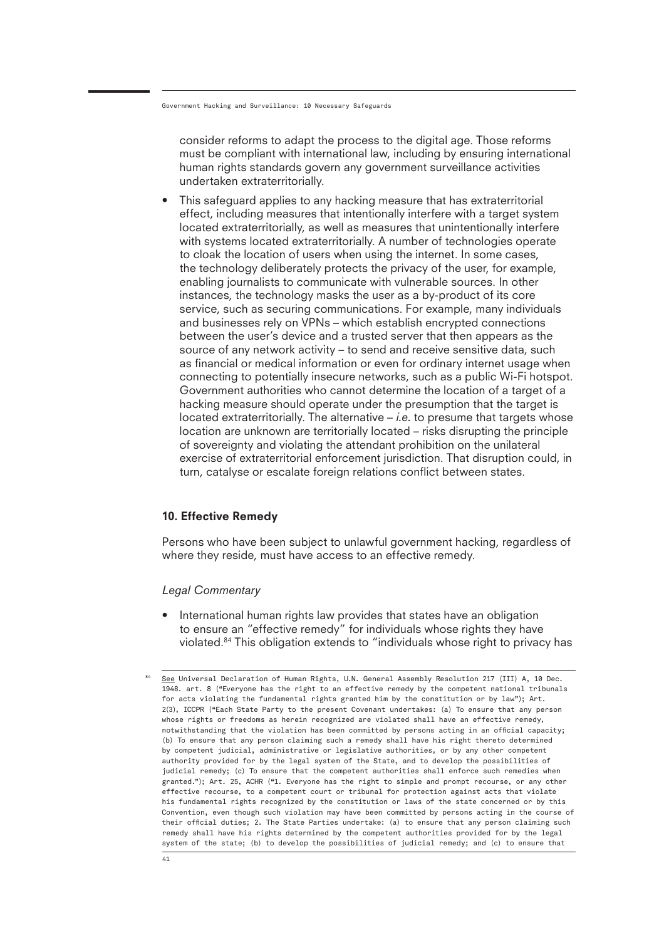consider reforms to adapt the process to the digital age. Those reforms must be compliant with international law, including by ensuring international human rights standards govern any government surveillance activities undertaken extraterritorially.

• This safeguard applies to any hacking measure that has extraterritorial effect, including measures that intentionally interfere with a target system located extraterritorially, as well as measures that unintentionally interfere with systems located extraterritorially. A number of technologies operate to cloak the location of users when using the internet. In some cases, the technology deliberately protects the privacy of the user, for example, enabling journalists to communicate with vulnerable sources. In other instances, the technology masks the user as a by-product of its core service, such as securing communications. For example, many individuals and businesses rely on VPNs – which establish encrypted connections between the user's device and a trusted server that then appears as the source of any network activity – to send and receive sensitive data, such as financial or medical information or even for ordinary internet usage when connecting to potentially insecure networks, such as a public Wi-Fi hotspot. Government authorities who cannot determine the location of a target of a hacking measure should operate under the presumption that the target is located extraterritorially. The alternative – *i.e.* to presume that targets whose location are unknown are territorially located – risks disrupting the principle of sovereignty and violating the attendant prohibition on the unilateral exercise of extraterritorial enforcement jurisdiction. That disruption could, in turn, catalyse or escalate foreign relations conflict between states.

#### 10. Effective Remedy

Persons who have been subject to unlawful government hacking, regardless of where they reside, must have access to an effective remedy.

#### *Legal Commentary*

• International human rights law provides that states have an obligation to ensure an "effective remedy" for individuals whose rights they have violated.84 This obligation extends to "individuals whose right to privacy has

See Universal Declaration of Human Rights, U.N. General Assembly Resolution 217 (III) A, 10 Dec. 1948. art. 8 ("Everyone has the right to an effective remedy by the competent national tribunals for acts violating the fundamental rights granted him by the constitution or by law"); Art. 2(3), ICCPR ("Each State Party to the present Covenant undertakes: (a) To ensure that any person whose rights or freedoms as herein recognized are violated shall have an effective remedy, notwithstanding that the violation has been committed by persons acting in an official capacity; (b) To ensure that any person claiming such a remedy shall have his right thereto determined by competent judicial, administrative or legislative authorities, or by any other competent authority provided for by the legal system of the State, and to develop the possibilities of judicial remedy; (c) To ensure that the competent authorities shall enforce such remedies when granted."); Art. 25, ACHR ("1. Everyone has the right to simple and prompt recourse, or any other effective recourse, to a competent court or tribunal for protection against acts that violate his fundamental rights recognized by the constitution or laws of the state concerned or by this Convention, even though such violation may have been committed by persons acting in the course of their official duties; 2. The State Parties undertake: (a) to ensure that any person claiming such remedy shall have his rights determined by the competent authorities provided for by the legal system of the state; (b) to develop the possibilities of judicial remedy; and (c) to ensure that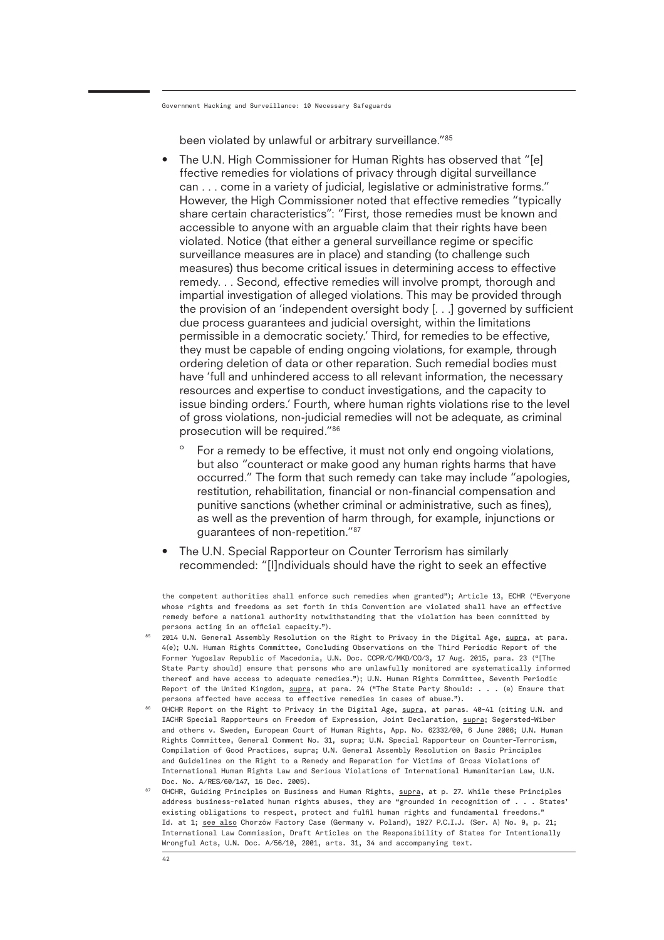been violated by unlawful or arbitrary surveillance."85

- The U.N. High Commissioner for Human Rights has observed that "[e] ffective remedies for violations of privacy through digital surveillance can . . . come in a variety of judicial, legislative or administrative forms." However, the High Commissioner noted that effective remedies "typically share certain characteristics": "First, those remedies must be known and accessible to anyone with an arguable claim that their rights have been violated. Notice (that either a general surveillance regime or specific surveillance measures are in place) and standing (to challenge such measures) thus become critical issues in determining access to effective remedy. . . Second, effective remedies will involve prompt, thorough and impartial investigation of alleged violations. This may be provided through the provision of an 'independent oversight body [. . .] governed by sufficient due process guarantees and judicial oversight, within the limitations permissible in a democratic society.' Third, for remedies to be effective, they must be capable of ending ongoing violations, for example, through ordering deletion of data or other reparation. Such remedial bodies must have 'full and unhindered access to all relevant information, the necessary resources and expertise to conduct investigations, and the capacity to issue binding orders.' Fourth, where human rights violations rise to the level of gross violations, non-judicial remedies will not be adequate, as criminal prosecution will be required."86
	- For a remedy to be effective, it must not only end ongoing violations, but also "counteract or make good any human rights harms that have occurred." The form that such remedy can take may include "apologies, restitution, rehabilitation, financial or non-financial compensation and punitive sanctions (whether criminal or administrative, such as fines), as well as the prevention of harm through, for example, injunctions or guarantees of non-repetition."87
- The U.N. Special Rapporteur on Counter Terrorism has similarly recommended: "[I]ndividuals should have the right to seek an effective

the competent authorities shall enforce such remedies when granted"); Article 13, ECHR ("Everyone whose rights and freedoms as set forth in this Convention are violated shall have an effective remedy before a national authority notwithstanding that the violation has been committed by persons acting in an official capacity.").

- 85 2014 U.N. General Assembly Resolution on the Right to Privacy in the Digital Age, supra, at para. 4(e); U.N. Human Rights Committee, Concluding Observations on the Third Periodic Report of the Former Yugoslav Republic of Macedonia, U.N. Doc. CCPR/C/MKD/CO/3, 17 Aug. 2015, para. 23 ("[The State Party should] ensure that persons who are unlawfully monitored are systematically informed thereof and have access to adequate remedies."); U.N. Human Rights Committee, Seventh Periodic Report of the United Kingdom, supra, at para. 24 ("The State Party Should: . . . (e) Ensure that persons affected have access to effective remedies in cases of abuse.").
- 86 OHCHR Report on the Right to Privacy in the Digital Age, supra, at paras. 40-41 (citing U.N. and IACHR Special Rapporteurs on Freedom of Expression, Joint Declaration, supra; Segersted-Wiber and others v. Sweden, European Court of Human Rights, App. No. 62332/00, 6 June 2006; U.N. Human Rights Committee, General Comment No. 31, supra; U.N. Special Rapporteur on Counter-Terrorism, Compilation of Good Practices, supra; U.N. General Assembly Resolution on Basic Principles and Guidelines on the Right to a Remedy and Reparation for Victims of Gross Violations of International Human Rights Law and Serious Violations of International Humanitarian Law, U.N. Doc. No. A/RES/60/147, 16 Dec. 2005).
- 87 OHCHR, Guiding Principles on Business and Human Rights, supra, at p. 27. While these Principles address business-related human rights abuses, they are "grounded in recognition of . . . States' existing obligations to respect, protect and fulfil human rights and fundamental freedoms." Id. at 1; see also Chorzów Factory Case (Germany v. Poland), 1927 P.C.I.J. (Ser. A) No. 9, p. 21; International Law Commission, Draft Articles on the Responsibility of States for Intentionally Wrongful Acts, U.N. Doc. A/56/10, 2001, arts. 31, 34 and accompanying text.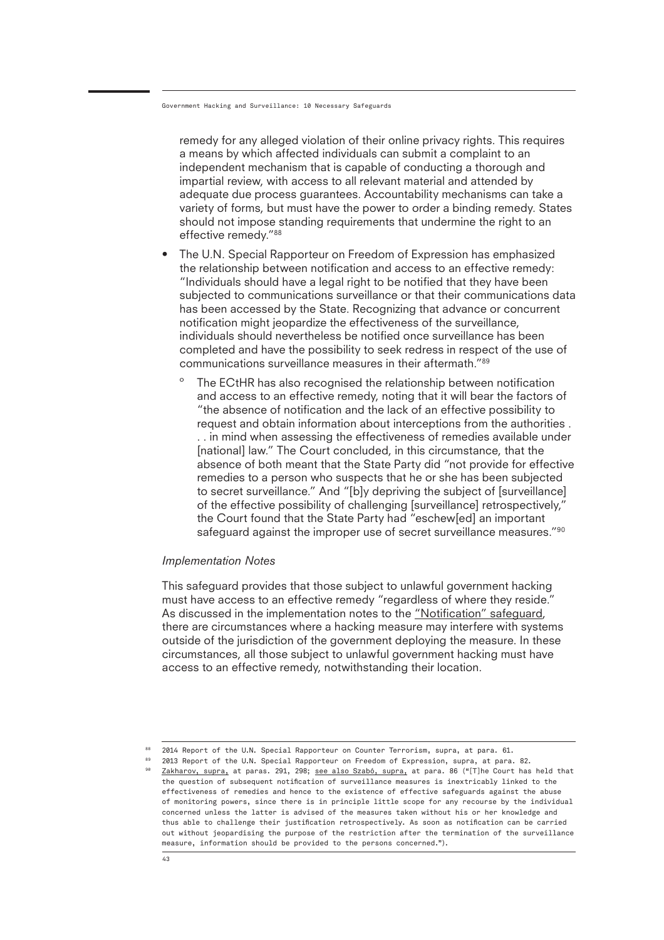remedy for any alleged violation of their online privacy rights. This requires a means by which affected individuals can submit a complaint to an independent mechanism that is capable of conducting a thorough and impartial review, with access to all relevant material and attended by adequate due process guarantees. Accountability mechanisms can take a variety of forms, but must have the power to order a binding remedy. States should not impose standing requirements that undermine the right to an effective remedy."88

- The U.N. Special Rapporteur on Freedom of Expression has emphasized the relationship between notification and access to an effective remedy: "Individuals should have a legal right to be notified that they have been subjected to communications surveillance or that their communications data has been accessed by the State. Recognizing that advance or concurrent notification might jeopardize the effectiveness of the surveillance, individuals should nevertheless be notified once surveillance has been completed and have the possibility to seek redress in respect of the use of communications surveillance measures in their aftermath."89
	- º The ECtHR has also recognised the relationship between notification and access to an effective remedy, noting that it will bear the factors of "the absence of notification and the lack of an effective possibility to request and obtain information about interceptions from the authorities . . . in mind when assessing the effectiveness of remedies available under [national] law." The Court concluded, in this circumstance, that the absence of both meant that the State Party did "not provide for effective remedies to a person who suspects that he or she has been subjected to secret surveillance." And "[b]y depriving the subject of [surveillance] of the effective possibility of challenging [surveillance] retrospectively," the Court found that the State Party had "eschew[ed] an important safeguard against the improper use of secret surveillance measures."<sup>90</sup>

#### *Implementation Notes*

This safeguard provides that those subject to unlawful government hacking must have access to an effective remedy "regardless of where they reside." As discussed in the implementation notes to the "Notification" safeguard, there are circumstances where a hacking measure may interfere with systems outside of the jurisdiction of the government deploying the measure. In these circumstances, all those subject to unlawful government hacking must have access to an effective remedy, notwithstanding their location.

<sup>88</sup> 2014 Report of the U.N. Special Rapporteur on Counter Terrorism, supra, at para. 61.

 $^{89}$  2013 Report of the U.N. Special Rapporteur on Freedom of Expression, supra, at para. 82. 90 Zakharov, supra, at paras. 291, 298; see also Szabó, supra, at para. 86 ("[T]he Court has held that the question of subsequent notification of surveillance measures is inextricably linked to the effectiveness of remedies and hence to the existence of effective safeguards against the abuse of monitoring powers, since there is in principle little scope for any recourse by the individual concerned unless the latter is advised of the measures taken without his or her knowledge and thus able to challenge their justification retrospectively. As soon as notification can be carried out without jeopardising the purpose of the restriction after the termination of the surveillance measure, information should be provided to the persons concerned.").